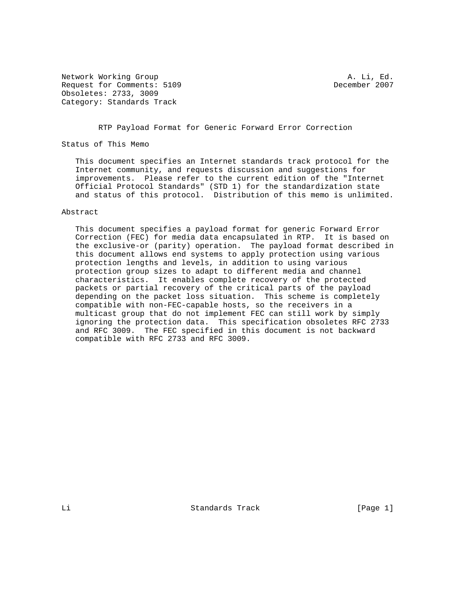Network Working Group and the set of the set of the set of the set of the set of the set of the set of the set of the set of the set of the set of the set of the set of the set of the set of the set of the set of the set o Request for Comments: 5109 December 2007 Obsoletes: 2733, 3009 Category: Standards Track

RTP Payload Format for Generic Forward Error Correction

Status of This Memo

 This document specifies an Internet standards track protocol for the Internet community, and requests discussion and suggestions for improvements. Please refer to the current edition of the "Internet Official Protocol Standards" (STD 1) for the standardization state and status of this protocol. Distribution of this memo is unlimited.

### Abstract

 This document specifies a payload format for generic Forward Error Correction (FEC) for media data encapsulated in RTP. It is based on the exclusive-or (parity) operation. The payload format described in this document allows end systems to apply protection using various protection lengths and levels, in addition to using various protection group sizes to adapt to different media and channel characteristics. It enables complete recovery of the protected packets or partial recovery of the critical parts of the payload depending on the packet loss situation. This scheme is completely compatible with non-FEC-capable hosts, so the receivers in a multicast group that do not implement FEC can still work by simply ignoring the protection data. This specification obsoletes RFC 2733 and RFC 3009. The FEC specified in this document is not backward compatible with RFC 2733 and RFC 3009.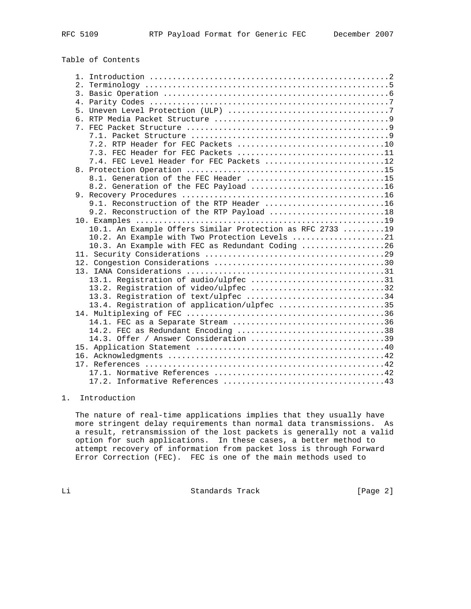Table of Contents

| 7.3. FEC Header for FEC Packets 11                        |
|-----------------------------------------------------------|
| 7.4. FEC Level Header for FEC Packets 12                  |
|                                                           |
| 8.1. Generation of the FEC Header 15                      |
| 8.2. Generation of the FEC Payload 16                     |
|                                                           |
| 9.1. Reconstruction of the RTP Header 16                  |
| 9.2. Reconstruction of the RTP Payload 18                 |
|                                                           |
| 10.1. An Example Offers Similar Protection as RFC 2733 19 |
| 10.2. An Example with Two Protection Levels 21            |
| 10.3. An Example with FEC as Redundant Coding 26          |
|                                                           |
|                                                           |
|                                                           |
| 13.1. Registration of audio/ulpfec 31                     |
| 13.2. Registration of video/ulpfec 32                     |
| 13.3. Registration of text/ulpfec 34                      |
| 13.4. Registration of application/ulpfec 35               |
|                                                           |
| 14.1. FEC as a Separate Stream 36                         |
| 14.2. FEC as Redundant Encoding 38                        |
| 14.3. Offer / Answer Consideration 39                     |
|                                                           |
|                                                           |
|                                                           |
|                                                           |
|                                                           |

# 1. Introduction

 The nature of real-time applications implies that they usually have more stringent delay requirements than normal data transmissions. As a result, retransmission of the lost packets is generally not a valid option for such applications. In these cases, a better method to attempt recovery of information from packet loss is through Forward Error Correction (FEC). FEC is one of the main methods used to

Li Standards Track [Page 2]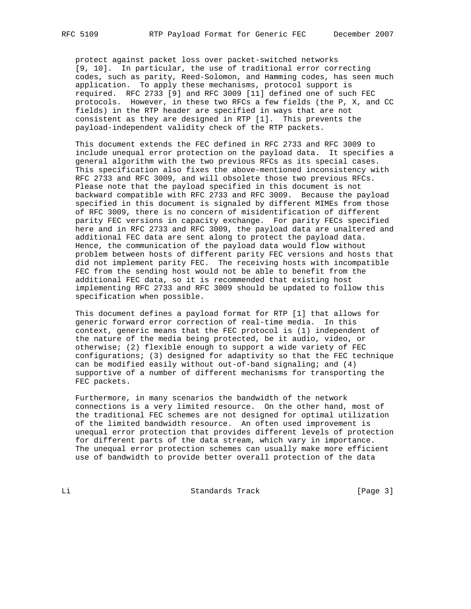protect against packet loss over packet-switched networks [9, 10]. In particular, the use of traditional error correcting codes, such as parity, Reed-Solomon, and Hamming codes, has seen much application. To apply these mechanisms, protocol support is required. RFC 2733 [9] and RFC 3009 [11] defined one of such FEC protocols. However, in these two RFCs a few fields (the P, X, and CC fields) in the RTP header are specified in ways that are not consistent as they are designed in RTP [1]. This prevents the payload-independent validity check of the RTP packets.

 This document extends the FEC defined in RFC 2733 and RFC 3009 to include unequal error protection on the payload data. It specifies a general algorithm with the two previous RFCs as its special cases. This specification also fixes the above-mentioned inconsistency with RFC 2733 and RFC 3009, and will obsolete those two previous RFCs. Please note that the payload specified in this document is not backward compatible with RFC 2733 and RFC 3009. Because the payload specified in this document is signaled by different MIMEs from those of RFC 3009, there is no concern of misidentification of different parity FEC versions in capacity exchange. For parity FECs specified here and in RFC 2733 and RFC 3009, the payload data are unaltered and additional FEC data are sent along to protect the payload data. Hence, the communication of the payload data would flow without problem between hosts of different parity FEC versions and hosts that did not implement parity FEC. The receiving hosts with incompatible FEC from the sending host would not be able to benefit from the additional FEC data, so it is recommended that existing host implementing RFC 2733 and RFC 3009 should be updated to follow this specification when possible.

 This document defines a payload format for RTP [1] that allows for generic forward error correction of real-time media. In this context, generic means that the FEC protocol is (1) independent of the nature of the media being protected, be it audio, video, or otherwise; (2) flexible enough to support a wide variety of FEC configurations; (3) designed for adaptivity so that the FEC technique can be modified easily without out-of-band signaling; and (4) supportive of a number of different mechanisms for transporting the FEC packets.

 Furthermore, in many scenarios the bandwidth of the network connections is a very limited resource. On the other hand, most of the traditional FEC schemes are not designed for optimal utilization of the limited bandwidth resource. An often used improvement is unequal error protection that provides different levels of protection for different parts of the data stream, which vary in importance. The unequal error protection schemes can usually make more efficient use of bandwidth to provide better overall protection of the data

Li Standards Track [Page 3]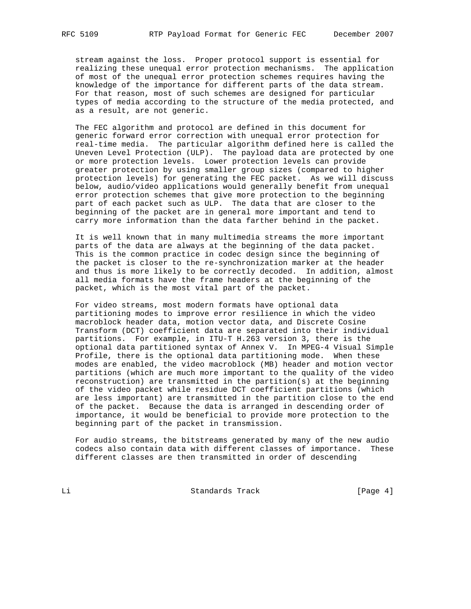stream against the loss. Proper protocol support is essential for realizing these unequal error protection mechanisms. The application of most of the unequal error protection schemes requires having the knowledge of the importance for different parts of the data stream. For that reason, most of such schemes are designed for particular types of media according to the structure of the media protected, and as a result, are not generic.

 The FEC algorithm and protocol are defined in this document for generic forward error correction with unequal error protection for real-time media. The particular algorithm defined here is called the Uneven Level Protection (ULP). The payload data are protected by one or more protection levels. Lower protection levels can provide greater protection by using smaller group sizes (compared to higher protection levels) for generating the FEC packet. As we will discuss below, audio/video applications would generally benefit from unequal error protection schemes that give more protection to the beginning part of each packet such as ULP. The data that are closer to the beginning of the packet are in general more important and tend to carry more information than the data farther behind in the packet.

 It is well known that in many multimedia streams the more important parts of the data are always at the beginning of the data packet. This is the common practice in codec design since the beginning of the packet is closer to the re-synchronization marker at the header and thus is more likely to be correctly decoded. In addition, almost all media formats have the frame headers at the beginning of the packet, which is the most vital part of the packet.

 For video streams, most modern formats have optional data partitioning modes to improve error resilience in which the video macroblock header data, motion vector data, and Discrete Cosine Transform (DCT) coefficient data are separated into their individual partitions. For example, in ITU-T H.263 version 3, there is the optional data partitioned syntax of Annex V. In MPEG-4 Visual Simple Profile, there is the optional data partitioning mode. When these modes are enabled, the video macroblock (MB) header and motion vector partitions (which are much more important to the quality of the video reconstruction) are transmitted in the partition(s) at the beginning of the video packet while residue DCT coefficient partitions (which are less important) are transmitted in the partition close to the end of the packet. Because the data is arranged in descending order of importance, it would be beneficial to provide more protection to the beginning part of the packet in transmission.

 For audio streams, the bitstreams generated by many of the new audio codecs also contain data with different classes of importance. These different classes are then transmitted in order of descending

Li Standards Track [Page 4]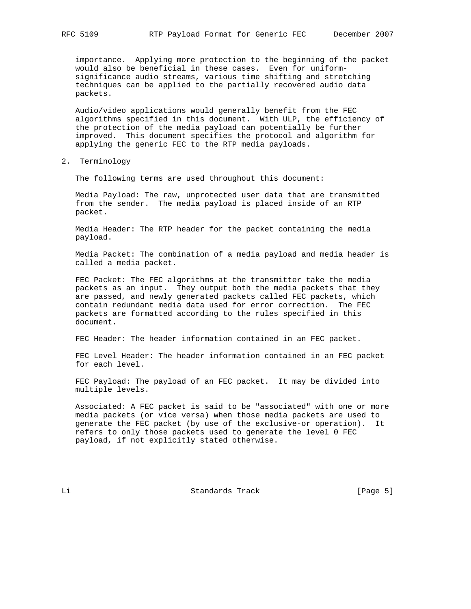importance. Applying more protection to the beginning of the packet would also be beneficial in these cases. Even for uniform significance audio streams, various time shifting and stretching techniques can be applied to the partially recovered audio data packets.

 Audio/video applications would generally benefit from the FEC algorithms specified in this document. With ULP, the efficiency of the protection of the media payload can potentially be further improved. This document specifies the protocol and algorithm for applying the generic FEC to the RTP media payloads.

2. Terminology

The following terms are used throughout this document:

 Media Payload: The raw, unprotected user data that are transmitted from the sender. The media payload is placed inside of an RTP packet.

 Media Header: The RTP header for the packet containing the media payload.

 Media Packet: The combination of a media payload and media header is called a media packet.

 FEC Packet: The FEC algorithms at the transmitter take the media packets as an input. They output both the media packets that they are passed, and newly generated packets called FEC packets, which contain redundant media data used for error correction. The FEC packets are formatted according to the rules specified in this document.

FEC Header: The header information contained in an FEC packet.

 FEC Level Header: The header information contained in an FEC packet for each level.

 FEC Payload: The payload of an FEC packet. It may be divided into multiple levels.

 Associated: A FEC packet is said to be "associated" with one or more media packets (or vice versa) when those media packets are used to generate the FEC packet (by use of the exclusive-or operation). It refers to only those packets used to generate the level 0 FEC payload, if not explicitly stated otherwise.

Li Standards Track [Page 5]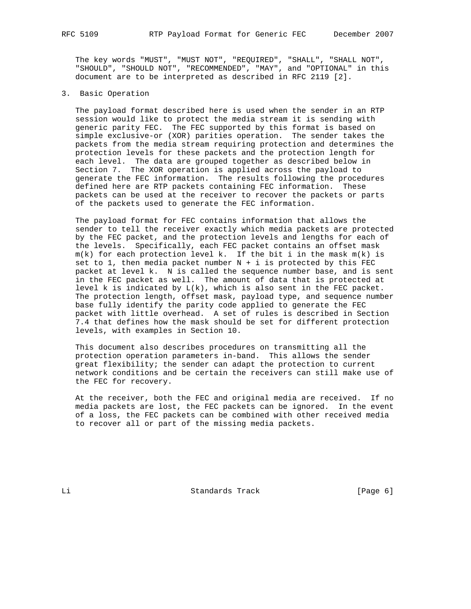The key words "MUST", "MUST NOT", "REQUIRED", "SHALL", "SHALL NOT", "SHOULD", "SHOULD NOT", "RECOMMENDED", "MAY", and "OPTIONAL" in this document are to be interpreted as described in RFC 2119 [2].

3. Basic Operation

 The payload format described here is used when the sender in an RTP session would like to protect the media stream it is sending with generic parity FEC. The FEC supported by this format is based on simple exclusive-or (XOR) parities operation. The sender takes the packets from the media stream requiring protection and determines the protection levels for these packets and the protection length for each level. The data are grouped together as described below in Section 7. The XOR operation is applied across the payload to generate the FEC information. The results following the procedures defined here are RTP packets containing FEC information. These packets can be used at the receiver to recover the packets or parts of the packets used to generate the FEC information.

 The payload format for FEC contains information that allows the sender to tell the receiver exactly which media packets are protected by the FEC packet, and the protection levels and lengths for each of the levels. Specifically, each FEC packet contains an offset mask  $m(k)$  for each protection level k. If the bit i in the mask  $m(k)$  is set to 1, then media packet number  $N + i$  is protected by this FEC packet at level k. N is called the sequence number base, and is sent in the FEC packet as well. The amount of data that is protected at level k is indicated by  $L(k)$ , which is also sent in the FEC packet. The protection length, offset mask, payload type, and sequence number base fully identify the parity code applied to generate the FEC packet with little overhead. A set of rules is described in Section 7.4 that defines how the mask should be set for different protection levels, with examples in Section 10.

 This document also describes procedures on transmitting all the protection operation parameters in-band. This allows the sender great flexibility; the sender can adapt the protection to current network conditions and be certain the receivers can still make use of the FEC for recovery.

 At the receiver, both the FEC and original media are received. If no media packets are lost, the FEC packets can be ignored. In the event of a loss, the FEC packets can be combined with other received media to recover all or part of the missing media packets.

Li **Example 2018** Standards Track [Page 6]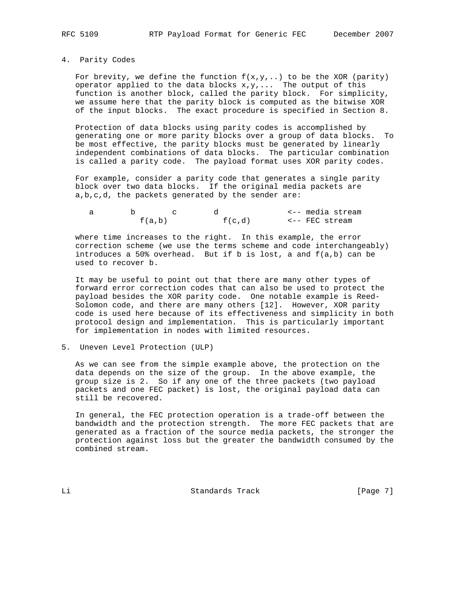4. Parity Codes

For brevity, we define the function  $f(x,y,...)$  to be the XOR (parity) operator applied to the data blocks  $x,y,...$  The output of this function is another block, called the parity block. For simplicity, we assume here that the parity block is computed as the bitwise XOR of the input blocks. The exact procedure is specified in Section 8.

 Protection of data blocks using parity codes is accomplished by generating one or more parity blocks over a group of data blocks. To be most effective, the parity blocks must be generated by linearly independent combinations of data blocks. The particular combination is called a parity code. The payload format uses XOR parity codes.

 For example, consider a parity code that generates a single parity block over two data blocks. If the original media packets are a,b,c,d, the packets generated by the sender are:

|  |        |        | <-- media stream |
|--|--------|--------|------------------|
|  | f(a,b) | f(c,d) | <-- FEC stream   |

 where time increases to the right. In this example, the error correction scheme (we use the terms scheme and code interchangeably) introduces a 50% overhead. But if b is lost, a and f(a,b) can be used to recover b.

 It may be useful to point out that there are many other types of forward error correction codes that can also be used to protect the payload besides the XOR parity code. One notable example is Reed- Solomon code, and there are many others [12]. However, XOR parity code is used here because of its effectiveness and simplicity in both protocol design and implementation. This is particularly important for implementation in nodes with limited resources.

5. Uneven Level Protection (ULP)

 As we can see from the simple example above, the protection on the data depends on the size of the group. In the above example, the group size is 2. So if any one of the three packets (two payload packets and one FEC packet) is lost, the original payload data can still be recovered.

 In general, the FEC protection operation is a trade-off between the bandwidth and the protection strength. The more FEC packets that are generated as a fraction of the source media packets, the stronger the protection against loss but the greater the bandwidth consumed by the combined stream.

Li Standards Track [Page 7]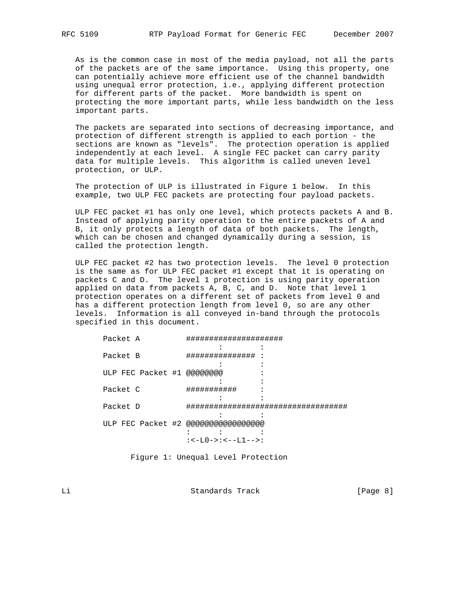As is the common case in most of the media payload, not all the parts of the packets are of the same importance. Using this property, one can potentially achieve more efficient use of the channel bandwidth using unequal error protection, i.e., applying different protection for different parts of the packet. More bandwidth is spent on protecting the more important parts, while less bandwidth on the less important parts.

 The packets are separated into sections of decreasing importance, and protection of different strength is applied to each portion - the sections are known as "levels". The protection operation is applied independently at each level. A single FEC packet can carry parity data for multiple levels. This algorithm is called uneven level protection, or ULP.

 The protection of ULP is illustrated in Figure 1 below. In this example, two ULP FEC packets are protecting four payload packets.

 ULP FEC packet #1 has only one level, which protects packets A and B. Instead of applying parity operation to the entire packets of A and B, it only protects a length of data of both packets. The length, which can be chosen and changed dynamically during a session, is called the protection length.

 ULP FEC packet #2 has two protection levels. The level 0 protection is the same as for ULP FEC packet #1 except that it is operating on packets C and D. The level 1 protection is using parity operation applied on data from packets A, B, C, and D. Note that level 1 protection operates on a different set of packets from level 0 and has a different protection length from level 0, so are any other levels. Information is all conveyed in-band through the protocols specified in this document.

| Packet A                                      |  |
|-----------------------------------------------|--|
|                                               |  |
| Packet B<br>##############                    |  |
| ULP FEC Packet #1 @@@@@@@@                    |  |
|                                               |  |
| Packet C<br>##########                        |  |
| Packet D<br>################################# |  |
|                                               |  |
| ULP FEC Packet #2 @@@@@@@@@@@@@@@@@@          |  |
|                                               |  |
| $: < -L0-> : < --L1--:$                       |  |

Figure 1: Unequal Level Protection

Li Standards Track [Page 8]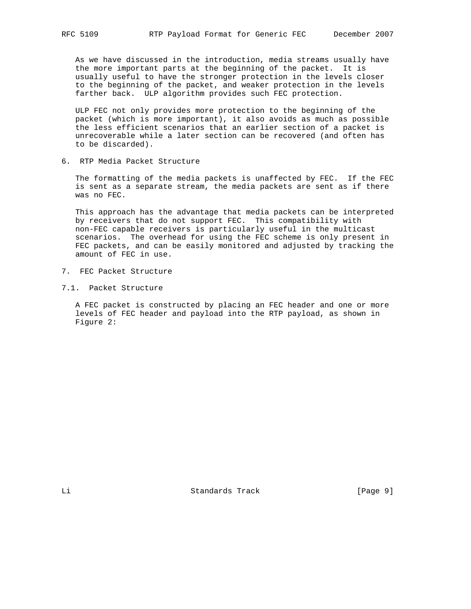As we have discussed in the introduction, media streams usually have the more important parts at the beginning of the packet. It is usually useful to have the stronger protection in the levels closer to the beginning of the packet, and weaker protection in the levels farther back. ULP algorithm provides such FEC protection.

 ULP FEC not only provides more protection to the beginning of the packet (which is more important), it also avoids as much as possible the less efficient scenarios that an earlier section of a packet is unrecoverable while a later section can be recovered (and often has to be discarded).

6. RTP Media Packet Structure

 The formatting of the media packets is unaffected by FEC. If the FEC is sent as a separate stream, the media packets are sent as if there was no FEC.

 This approach has the advantage that media packets can be interpreted by receivers that do not support FEC. This compatibility with non-FEC capable receivers is particularly useful in the multicast scenarios. The overhead for using the FEC scheme is only present in FEC packets, and can be easily monitored and adjusted by tracking the amount of FEC in use.

- 7. FEC Packet Structure
- 7.1. Packet Structure

 A FEC packet is constructed by placing an FEC header and one or more levels of FEC header and payload into the RTP payload, as shown in Figure 2:

Li Standards Track [Page 9]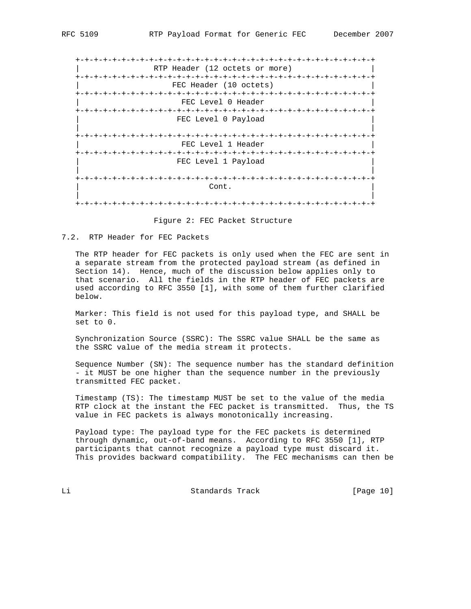+-+-+-+-+-+-+-+-+-+-+-+-+-+-+-+-+-+-+-+-+-+-+-+-+-+-+-+-+-+-+-+-+ RTP Header (12 octets or more) +-+-+-+-+-+-+-+-+-+-+-+-+-+-+-+-+-+-+-+-+-+-+-+-+-+-+-+-+-+-+-+-+ FEC Header (10 octets) +-+-+-+-+-+-+-+-+-+-+-+-+-+-+-+-+-+-+-+-+-+-+-+-+-+-+-+-+-+-+-+-+ FEC Level 0 Header +-+-+-+-+-+-+-+-+-+-+-+-+-+-+-+-+-+-+-+-+-+-+-+-+-+-+-+-+-+-+-+-+ FEC Level 0 Payload | | +-+-+-+-+-+-+-+-+-+-+-+-+-+-+-+-+-+-+-+-+-+-+-+-+-+-+-+-+-+-+-+-+ FEC Level 1 Header +-+-+-+-+-+-+-+-+-+-+-+-+-+-+-+-+-+-+-+-+-+-+-+-+-+-+-+-+-+-+-+-+ FEC Level 1 Payload | | +-+-+-+-+-+-+-+-+-+-+-+-+-+-+-+-+-+-+-+-+-+-+-+-+-+-+-+-+-+-+-+-+ | Cont. | Cont. | Context | Context | Context | Context | Context | Context | Context | Context | Context | Co | | +-+-+-+-+-+-+-+-+-+-+-+-+-+-+-+-+-+-+-+-+-+-+-+-+-+-+-+-+-+-+-+-+

Figure 2: FEC Packet Structure

### 7.2. RTP Header for FEC Packets

 The RTP header for FEC packets is only used when the FEC are sent in a separate stream from the protected payload stream (as defined in Section 14). Hence, much of the discussion below applies only to that scenario. All the fields in the RTP header of FEC packets are used according to RFC 3550 [1], with some of them further clarified below.

 Marker: This field is not used for this payload type, and SHALL be set to 0.

 Synchronization Source (SSRC): The SSRC value SHALL be the same as the SSRC value of the media stream it protects.

 Sequence Number (SN): The sequence number has the standard definition - it MUST be one higher than the sequence number in the previously transmitted FEC packet.

 Timestamp (TS): The timestamp MUST be set to the value of the media RTP clock at the instant the FEC packet is transmitted. Thus, the TS value in FEC packets is always monotonically increasing.

 Payload type: The payload type for the FEC packets is determined through dynamic, out-of-band means. According to RFC 3550 [1], RTP participants that cannot recognize a payload type must discard it. This provides backward compatibility. The FEC mechanisms can then be

Li Standards Track [Page 10]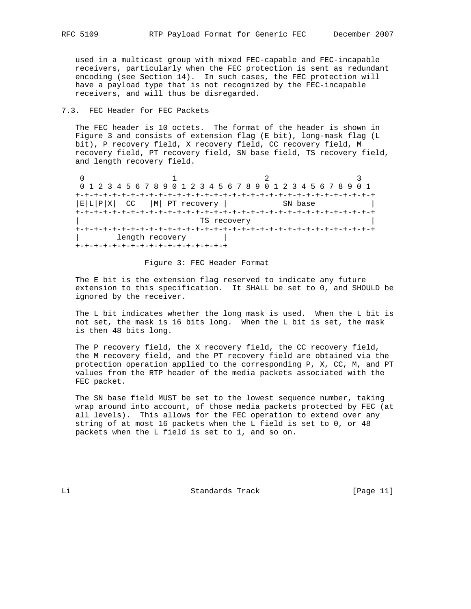used in a multicast group with mixed FEC-capable and FEC-incapable receivers, particularly when the FEC protection is sent as redundant encoding (see Section 14). In such cases, the FEC protection will have a payload type that is not recognized by the FEC-incapable receivers, and will thus be disregarded.

# 7.3. FEC Header for FEC Packets

 The FEC header is 10 octets. The format of the header is shown in Figure 3 and consists of extension flag (E bit), long-mask flag (L bit), P recovery field, X recovery field, CC recovery field, M recovery field, PT recovery field, SN base field, TS recovery field, and length recovery field.

0  $1$  2 3 0 1 2 3 4 5 6 7 8 9 0 1 2 3 4 5 6 7 8 9 0 1 2 3 4 5 6 7 8 9 0 1 +-+-+-+-+-+-+-+-+-+-+-+-+-+-+-+-+-+-+-+-+-+-+-+-+-+-+-+-+-+-+-+-+  $|E|L|P|X|$  CC  $|M|$  PT recovery  $|$  SN base +-+-+-+-+-+-+-+-+-+-+-+-+-+-+-+-+-+-+-+-+-+-+-+-+-+-+-+-+-+-+-+-+ TS recovery +-+-+-+-+-+-+-+-+-+-+-+-+-+-+-+-+-+-+-+-+-+-+-+-+-+-+-+-+-+-+-+-+ | length recovery | +-+-+-+-+-+-+-+-+-+-+-+-+-+-+-+-+

### Figure 3: FEC Header Format

 The E bit is the extension flag reserved to indicate any future extension to this specification. It SHALL be set to 0, and SHOULD be ignored by the receiver.

 The L bit indicates whether the long mask is used. When the L bit is not set, the mask is 16 bits long. When the L bit is set, the mask is then 48 bits long.

 The P recovery field, the X recovery field, the CC recovery field, the M recovery field, and the PT recovery field are obtained via the protection operation applied to the corresponding P, X, CC, M, and PT values from the RTP header of the media packets associated with the FEC packet.

 The SN base field MUST be set to the lowest sequence number, taking wrap around into account, of those media packets protected by FEC (at all levels). This allows for the FEC operation to extend over any string of at most 16 packets when the L field is set to 0, or 48 packets when the L field is set to 1, and so on.

Li Standards Track [Page 11]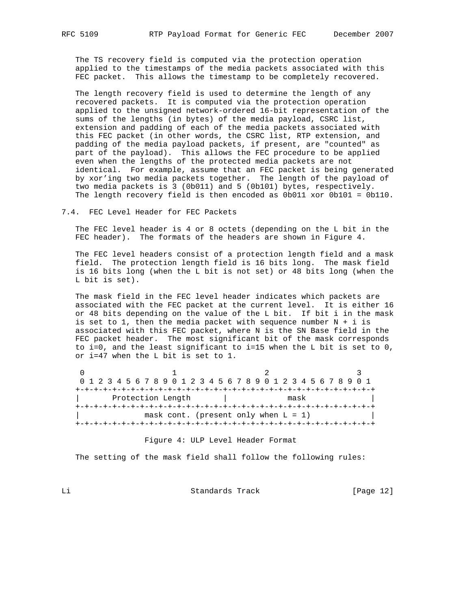The TS recovery field is computed via the protection operation applied to the timestamps of the media packets associated with this FEC packet. This allows the timestamp to be completely recovered.

 The length recovery field is used to determine the length of any recovered packets. It is computed via the protection operation applied to the unsigned network-ordered 16-bit representation of the sums of the lengths (in bytes) of the media payload, CSRC list, extension and padding of each of the media packets associated with this FEC packet (in other words, the CSRC list, RTP extension, and padding of the media payload packets, if present, are "counted" as part of the payload). This allows the FEC procedure to be applied even when the lengths of the protected media packets are not identical. For example, assume that an FEC packet is being generated by xor'ing two media packets together. The length of the payload of two media packets is 3 (0b011) and 5 (0b101) bytes, respectively. The length recovery field is then encoded as 0b011 xor 0b101 = 0b110.

### 7.4. FEC Level Header for FEC Packets

 The FEC level header is 4 or 8 octets (depending on the L bit in the FEC header). The formats of the headers are shown in Figure 4.

 The FEC level headers consist of a protection length field and a mask field. The protection length field is 16 bits long. The mask field is 16 bits long (when the L bit is not set) or 48 bits long (when the L bit is set).

 The mask field in the FEC level header indicates which packets are associated with the FEC packet at the current level. It is either 16 or 48 bits depending on the value of the L bit. If bit i in the mask is set to 1, then the media packet with sequence number  $N + i$  is associated with this FEC packet, where N is the SN Base field in the FEC packet header. The most significant bit of the mask corresponds to i=0, and the least significant to i=15 when the L bit is set to 0, or i=47 when the L bit is set to 1.

| 0 1 2 3 4 5 6 7 8 9 0 1 2 3 4 5 6 7 8 9 0 1 2 3 4 5 6 7 8 9 0 1 |  |  |  |  |  |  |  |      |  |  |  |  |  |                                         |  |  |  |  |  |  |  |  |
|-----------------------------------------------------------------|--|--|--|--|--|--|--|------|--|--|--|--|--|-----------------------------------------|--|--|--|--|--|--|--|--|
|                                                                 |  |  |  |  |  |  |  |      |  |  |  |  |  |                                         |  |  |  |  |  |  |  |  |
| Protection Length                                               |  |  |  |  |  |  |  | mask |  |  |  |  |  |                                         |  |  |  |  |  |  |  |  |
|                                                                 |  |  |  |  |  |  |  |      |  |  |  |  |  |                                         |  |  |  |  |  |  |  |  |
|                                                                 |  |  |  |  |  |  |  |      |  |  |  |  |  | mask cont. (present only when $L = 1$ ) |  |  |  |  |  |  |  |  |
|                                                                 |  |  |  |  |  |  |  |      |  |  |  |  |  | --+-+-+-+-+-+-+-+-+-+-+-                |  |  |  |  |  |  |  |  |

### Figure 4: ULP Level Header Format

The setting of the mask field shall follow the following rules:

Li Standards Track [Page 12]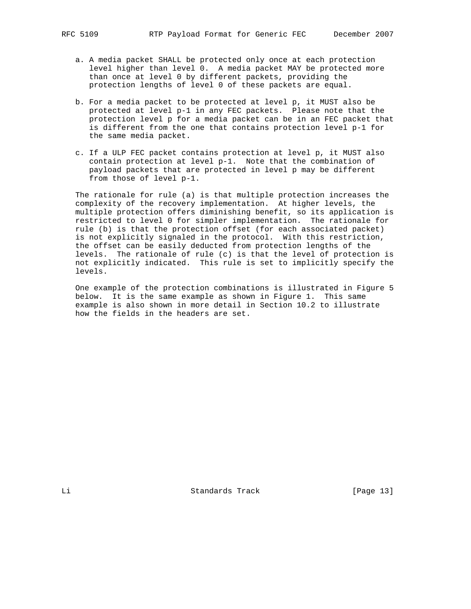a. A media packet SHALL be protected only once at each protection level higher than level 0. A media packet MAY be protected more than once at level 0 by different packets, providing the

protection lengths of level 0 of these packets are equal.

- b. For a media packet to be protected at level p, it MUST also be protected at level p-1 in any FEC packets. Please note that the protection level p for a media packet can be in an FEC packet that is different from the one that contains protection level p-1 for the same media packet.
- c. If a ULP FEC packet contains protection at level p, it MUST also contain protection at level p-1. Note that the combination of payload packets that are protected in level p may be different from those of level p-1.

 The rationale for rule (a) is that multiple protection increases the complexity of the recovery implementation. At higher levels, the multiple protection offers diminishing benefit, so its application is restricted to level 0 for simpler implementation. The rationale for rule (b) is that the protection offset (for each associated packet) is not explicitly signaled in the protocol. With this restriction, the offset can be easily deducted from protection lengths of the levels. The rationale of rule (c) is that the level of protection is not explicitly indicated. This rule is set to implicitly specify the levels.

 One example of the protection combinations is illustrated in Figure 5 below. It is the same example as shown in Figure 1. This same example is also shown in more detail in Section 10.2 to illustrate how the fields in the headers are set.

Li Standards Track [Page 13]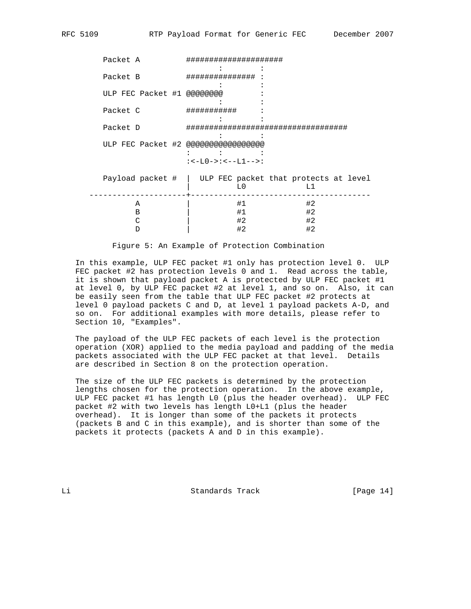Packet A ##################### : : Packet B ############### : : : ULP FEC Packet #1 @@@@@@@@ the state of the state of the state of the state of the state of the state of the state of Packet C ########### : the second control of the second control of the second control of Packet D ################################### the second control of the second control of the second control of ULP FEC Packet #2 @@@@@@@@@@@@@@@@@ : : :  $: < -L0->: < -L1--:$  Payload packet # | ULP FEC packet that protects at level | L0 L1 ---------------------+--------------------------------------- A | #1 #2 B | #1 #2  $\begin{array}{ccc} \text{C} & & | & & \#2 & & \#2 \\ \text{D} & & | & \#2 & & \#2 \end{array}$ D | #2 #2

Figure 5: An Example of Protection Combination

 In this example, ULP FEC packet #1 only has protection level 0. ULP FEC packet #2 has protection levels 0 and 1. Read across the table, it is shown that payload packet A is protected by ULP FEC packet #1 at level 0, by ULP FEC packet #2 at level 1, and so on. Also, it can be easily seen from the table that ULP FEC packet #2 protects at level 0 payload packets C and D, at level 1 payload packets A-D, and so on. For additional examples with more details, please refer to Section 10, "Examples".

 The payload of the ULP FEC packets of each level is the protection operation (XOR) applied to the media payload and padding of the media packets associated with the ULP FEC packet at that level. Details are described in Section 8 on the protection operation.

 The size of the ULP FEC packets is determined by the protection lengths chosen for the protection operation. In the above example, ULP FEC packet #1 has length L0 (plus the header overhead). ULP FEC packet #2 with two levels has length L0+L1 (plus the header overhead). It is longer than some of the packets it protects (packets B and C in this example), and is shorter than some of the packets it protects (packets A and D in this example).

Li Standards Track [Page 14]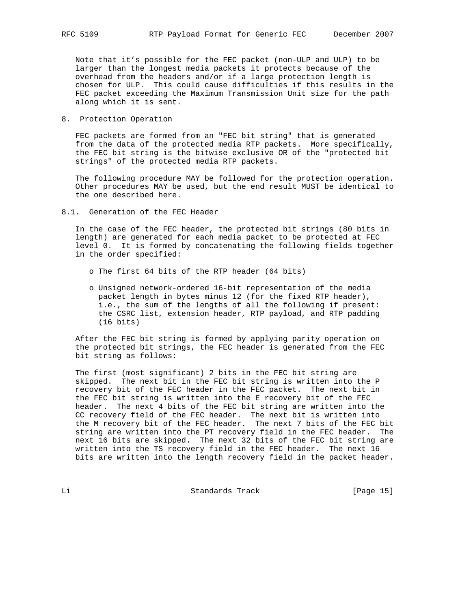Note that it's possible for the FEC packet (non-ULP and ULP) to be larger than the longest media packets it protects because of the overhead from the headers and/or if a large protection length is chosen for ULP. This could cause difficulties if this results in the FEC packet exceeding the Maximum Transmission Unit size for the path along which it is sent.

8. Protection Operation

 FEC packets are formed from an "FEC bit string" that is generated from the data of the protected media RTP packets. More specifically, the FEC bit string is the bitwise exclusive OR of the "protected bit strings" of the protected media RTP packets.

 The following procedure MAY be followed for the protection operation. Other procedures MAY be used, but the end result MUST be identical to the one described here.

8.1. Generation of the FEC Header

 In the case of the FEC header, the protected bit strings (80 bits in length) are generated for each media packet to be protected at FEC level 0. It is formed by concatenating the following fields together in the order specified:

- o The first 64 bits of the RTP header (64 bits)
- o Unsigned network-ordered 16-bit representation of the media packet length in bytes minus 12 (for the fixed RTP header), i.e., the sum of the lengths of all the following if present: the CSRC list, extension header, RTP payload, and RTP padding (16 bits)

 After the FEC bit string is formed by applying parity operation on the protected bit strings, the FEC header is generated from the FEC bit string as follows:

 The first (most significant) 2 bits in the FEC bit string are skipped. The next bit in the FEC bit string is written into the P recovery bit of the FEC header in the FEC packet. The next bit in the FEC bit string is written into the E recovery bit of the FEC header. The next 4 bits of the FEC bit string are written into the CC recovery field of the FEC header. The next bit is written into the M recovery bit of the FEC header. The next 7 bits of the FEC bit string are written into the PT recovery field in the FEC header. The next 16 bits are skipped. The next 32 bits of the FEC bit string are written into the TS recovery field in the FEC header. The next 16 bits are written into the length recovery field in the packet header.

Li Standards Track [Page 15]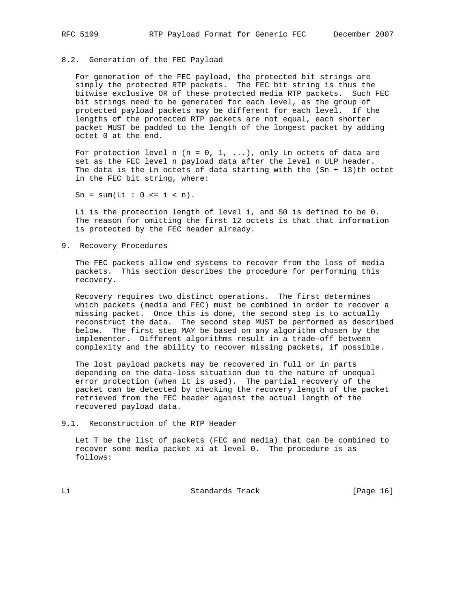## 8.2. Generation of the FEC Payload

 For generation of the FEC payload, the protected bit strings are simply the protected RTP packets. The FEC bit string is thus the bitwise exclusive OR of these protected media RTP packets. Such FEC bit strings need to be generated for each level, as the group of protected payload packets may be different for each level. If the lengths of the protected RTP packets are not equal, each shorter packet MUST be padded to the length of the longest packet by adding octet 0 at the end.

For protection level n  $(n = 0, 1, ...)$ , only Ln octets of data are set as the FEC level n payload data after the level n ULP header. The data is the Ln octets of data starting with the  $(Sn + 13)$ th octet in the FEC bit string, where:

 $Sn = sum(Li : 0 \le i \le n).$ 

 Li is the protection length of level i, and S0 is defined to be 0. The reason for omitting the first 12 octets is that that information is protected by the FEC header already.

9. Recovery Procedures

 The FEC packets allow end systems to recover from the loss of media packets. This section describes the procedure for performing this recovery.

 Recovery requires two distinct operations. The first determines which packets (media and FEC) must be combined in order to recover a missing packet. Once this is done, the second step is to actually reconstruct the data. The second step MUST be performed as described below. The first step MAY be based on any algorithm chosen by the implementer. Different algorithms result in a trade-off between complexity and the ability to recover missing packets, if possible.

 The lost payload packets may be recovered in full or in parts depending on the data-loss situation due to the nature of unequal error protection (when it is used). The partial recovery of the packet can be detected by checking the recovery length of the packet retrieved from the FEC header against the actual length of the recovered payload data.

9.1. Reconstruction of the RTP Header

 Let T be the list of packets (FEC and media) that can be combined to recover some media packet xi at level 0. The procedure is as follows:

Li Standards Track [Page 16]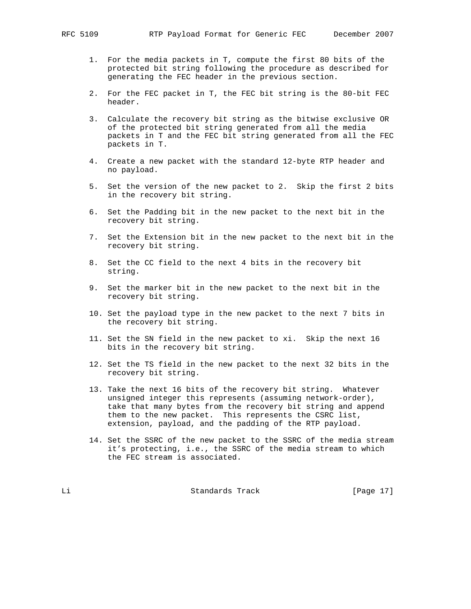- 1. For the media packets in T, compute the first 80 bits of the protected bit string following the procedure as described for generating the FEC header in the previous section.
- 2. For the FEC packet in T, the FEC bit string is the 80-bit FEC header.
- 3. Calculate the recovery bit string as the bitwise exclusive OR of the protected bit string generated from all the media packets in T and the FEC bit string generated from all the FEC packets in T.
- 4. Create a new packet with the standard 12-byte RTP header and no payload.
- 5. Set the version of the new packet to 2. Skip the first 2 bits in the recovery bit string.
- 6. Set the Padding bit in the new packet to the next bit in the recovery bit string.
- 7. Set the Extension bit in the new packet to the next bit in the recovery bit string.
- 8. Set the CC field to the next 4 bits in the recovery bit string.
- 9. Set the marker bit in the new packet to the next bit in the recovery bit string.
- 10. Set the payload type in the new packet to the next 7 bits in the recovery bit string.
- 11. Set the SN field in the new packet to xi. Skip the next 16 bits in the recovery bit string.
- 12. Set the TS field in the new packet to the next 32 bits in the recovery bit string.
- 13. Take the next 16 bits of the recovery bit string. Whatever unsigned integer this represents (assuming network-order), take that many bytes from the recovery bit string and append them to the new packet. This represents the CSRC list, extension, payload, and the padding of the RTP payload.
- 14. Set the SSRC of the new packet to the SSRC of the media stream it's protecting, i.e., the SSRC of the media stream to which the FEC stream is associated.

Li Standards Track [Page 17]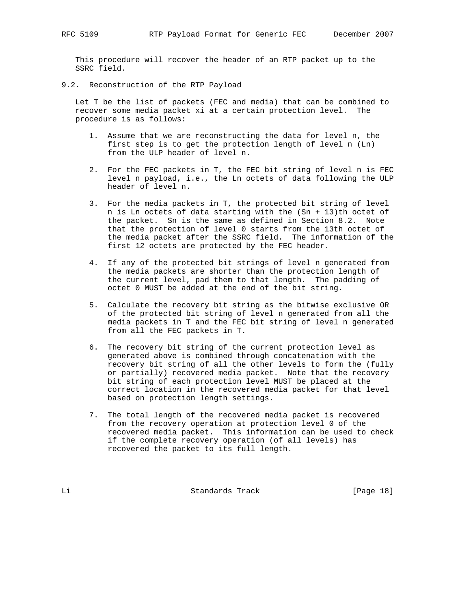This procedure will recover the header of an RTP packet up to the SSRC field.

9.2. Reconstruction of the RTP Payload

 Let T be the list of packets (FEC and media) that can be combined to recover some media packet xi at a certain protection level. The procedure is as follows:

- 1. Assume that we are reconstructing the data for level n, the first step is to get the protection length of level n (Ln) from the ULP header of level n.
- 2. For the FEC packets in T, the FEC bit string of level n is FEC level n payload, i.e., the Ln octets of data following the ULP header of level n.
- 3. For the media packets in T, the protected bit string of level n is Ln octets of data starting with the (Sn + 13)th octet of the packet. Sn is the same as defined in Section 8.2. Note that the protection of level 0 starts from the 13th octet of the media packet after the SSRC field. The information of the first 12 octets are protected by the FEC header.
- 4. If any of the protected bit strings of level n generated from the media packets are shorter than the protection length of the current level, pad them to that length. The padding of octet 0 MUST be added at the end of the bit string.
- 5. Calculate the recovery bit string as the bitwise exclusive OR of the protected bit string of level n generated from all the media packets in T and the FEC bit string of level n generated from all the FEC packets in T.
- 6. The recovery bit string of the current protection level as generated above is combined through concatenation with the recovery bit string of all the other levels to form the (fully or partially) recovered media packet. Note that the recovery bit string of each protection level MUST be placed at the correct location in the recovered media packet for that level based on protection length settings.
- 7. The total length of the recovered media packet is recovered from the recovery operation at protection level 0 of the recovered media packet. This information can be used to check if the complete recovery operation (of all levels) has recovered the packet to its full length.

Li Standards Track [Page 18]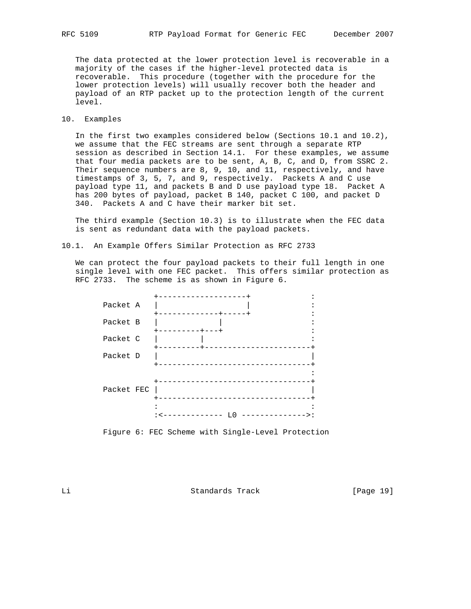The data protected at the lower protection level is recoverable in a majority of the cases if the higher-level protected data is recoverable. This procedure (together with the procedure for the lower protection levels) will usually recover both the header and payload of an RTP packet up to the protection length of the current level.

### 10. Examples

 In the first two examples considered below (Sections 10.1 and 10.2), we assume that the FEC streams are sent through a separate RTP session as described in Section 14.1. For these examples, we assume that four media packets are to be sent, A, B, C, and D, from SSRC 2. Their sequence numbers are  $8, 9, 10,$  and  $11,$  respectively, and have timestamps of 3, 5, 7, and 9, respectively. Packets A and C use payload type 11, and packets B and D use payload type 18. Packet A has 200 bytes of payload, packet B 140, packet C 100, and packet D 340. Packets A and C have their marker bit set.

 The third example (Section 10.3) is to illustrate when the FEC data is sent as redundant data with the payload packets.

10.1. An Example Offers Similar Protection as RFC 2733

 We can protect the four payload packets to their full length in one single level with one FEC packet. This offers similar protection as RFC 2733. The scheme is as shown in Figure 6.

|            | ----------                    |
|------------|-------------------------------|
| Packet A   |                               |
| Packet B   | -----+-----<br>---------+---+ |
| Packet C   |                               |
| Packet D   |                               |
|            |                               |
| Packet FEC |                               |
|            |                               |
|            |                               |

Figure 6: FEC Scheme with Single-Level Protection

Li Standards Track [Page 19]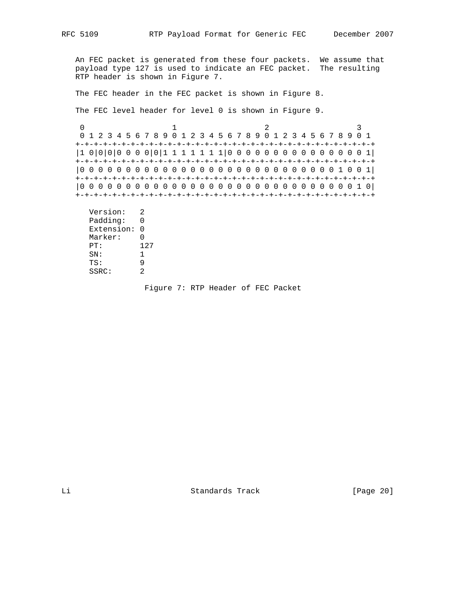An FEC packet is generated from these four packets. We assume that payload type 127 is used to indicate an FEC packet. The resulting RTP header is shown in Figure 7.

The FEC header in the FEC packet is shown in Figure 8.

The FEC level header for level 0 is shown in Figure 9.

0  $1$  2 3 0 1 2 3 4 5 6 7 8 9 0 1 2 3 4 5 6 7 8 9 0 1 2 3 4 5 6 7 8 9 0 1 +-+-+-+-+-+-+-+-+-+-+-+-+-+-+-+-+-+-+-+-+-+-+-+-+-+-+-+-+-+-+-+-+ |1 0|0|0|0 0 0 0|0|1 1 1 1 1 1 1|0 0 0 0 0 0 0 0 0 0 0 0 0 0 0 1| +-+-+-+-+-+-+-+-+-+-+-+-+-+-+-+-+-+-+-+-+-+-+-+-+-+-+-+-+-+-+-+-+ |0 0 0 0 0 0 0 0 0 0 0 0 0 0 0 0 0 0 0 0 0 0 0 0 0 0 0 0 1 0 0 1| +-+-+-+-+-+-+-+-+-+-+-+-+-+-+-+-+-+-+-+-+-+-+-+-+-+-+-+-+-+-+-+-+ |0 0 0 0 0 0 0 0 0 0 0 0 0 0 0 0 0 0 0 0 0 0 0 0 0 0 0 0 0 0 1 0| +-+-+-+-+-+-+-+-+-+-+-+-+-+-+-+-+-+-+-+-+-+-+-+-+-+-+-+-+-+-+-+-+

 Version: 2 Padding: 0 Extension: 0 Marker: 0 PT: 127<br>SN: 1 SN: 1<br>TS: 9 TS: 9 SSRC: 2

Figure 7: RTP Header of FEC Packet

Li Standards Track [Page 20]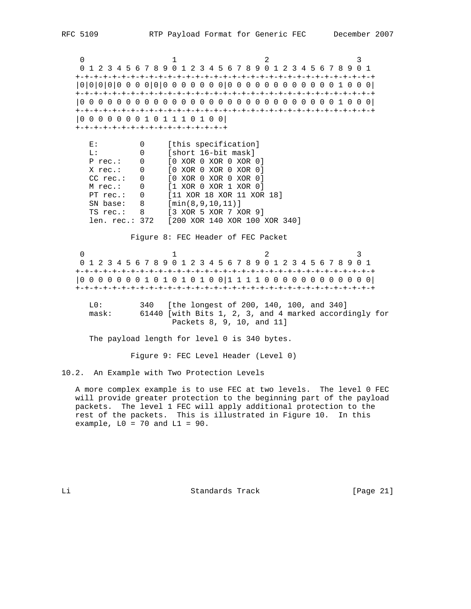0  $1$  2 3 0 1 2 3 4 5 6 7 8 9 0 1 2 3 4 5 6 7 8 9 0 1 2 3 4 5 6 7 8 9 0 1 +-+-+-+-+-+-+-+-+-+-+-+-+-+-+-+-+-+-+-+-+-+-+-+-+-+-+-+-+-+-+-+-+ |0|0|0|0|0 0 0 0|0|0 0 0 0 0 0 0|0 0 0 0 0 0 0 0 0 0 0 0 1 0 0 0| +-+-+-+-+-+-+-+-+-+-+-+-+-+-+-+-+-+-+-+-+-+-+-+-+-+-+-+-+-+-+-+-+ |0 0 0 0 0 0 0 0 0 0 0 0 0 0 0 0 0 0 0 0 0 0 0 0 0 0 0 0 1 0 0 0| +-+-+-+-+-+-+-+-+-+-+-+-+-+-+-+-+-+-+-+-+-+-+-+-+-+-+-+-+-+-+-+-+ |0 0 0 0 0 0 0 1 0 1 1 1 0 1 0 0| +-+-+-+-+-+-+-+-+-+-+-+-+-+-+-+-+ E: 0 [this specification]<br>L: 0 [short 16-bit mask] L: 0 [short 16-bit mask] P rec.: 0 [0 XOR 0 XOR 0 XOR 0] X rec.: 0 [0 XOR 0 XOR 0 XOR 0] CC rec.: 0 [0 XOR 0 XOR 0 XOR 0] M rec.: 0 [1 XOR 0 XOR 1 XOR 0] PT rec.: 0 [11 XOR 18 XOR 11 XOR 18] SN base: 8 [min(8,9,10,11)] TS rec.: 8 [3 XOR 5 XOR 7 XOR 9] len. rec.: 372 [200 XOR 140 XOR 100 XOR 340] Figure 8: FEC Header of FEC Packet 0  $1$  2 3 0 1 2 3 4 5 6 7 8 9 0 1 2 3 4 5 6 7 8 9 0 1 2 3 4 5 6 7 8 9 0 1 +-+-+-+-+-+-+-+-+-+-+-+-+-+-+-+-+-+-+-+-+-+-+-+-+-+-+-+-+-+-+-+-+ |0 0 0 0 0 0 0 1 0 1 0 1 0 1 0 0|1 1 1 1 0 0 0 0 0 0 0 0 0 0 0 0| +-+-+-+-+-+-+-+-+-+-+-+-+-+-+-+-+-+-+-+-+-+-+-+-+-+-+-+-+-+-+-+-+ L0: 340 [the longest of 200, 140, 100, and 340] mask: 61440 [with Bits 1, 2, 3, and 4 marked accordingly for Packets 8, 9, 10, and 11] The payload length for level 0 is 340 bytes. Figure 9: FEC Level Header (Level 0)

10.2. An Example with Two Protection Levels

 A more complex example is to use FEC at two levels. The level 0 FEC will provide greater protection to the beginning part of the payload packets. The level 1 FEC will apply additional protection to the rest of the packets. This is illustrated in Figure 10. In this example,  $LO = 70$  and  $LI = 90$ .

Li Standards Track [Page 21]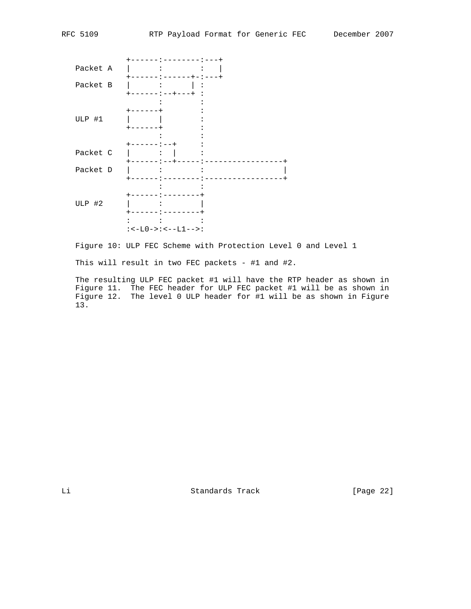|          | --------:---+                                           |
|----------|---------------------------------------------------------|
| Packet A |                                                         |
| Packet B | $\sim$ $\sim$ $\sim$<br>$\ddot{\cdot}$<br>-----:--+---+ |
| ULP #1   | -----<br>-----                                          |
|          | --+                                                     |
| Packet C | <b>Contract Contract</b>                                |
| Packet D | <b>Contract Contract Street</b><br>$\ddot{\cdot}$       |
|          |                                                         |
| ULP #2   | $\ddot{\phantom{a}}$ :                                  |
|          |                                                         |
|          | $:--L0->:--L1-->:$                                      |

Figure 10: ULP FEC Scheme with Protection Level 0 and Level 1

This will result in two FEC packets - #1 and #2.

 The resulting ULP FEC packet #1 will have the RTP header as shown in Figure 11. The FEC header for ULP FEC packet #1 will be as shown in Figure 12. The level 0 ULP header for #1 will be as shown in Figure 13.

Li Standards Track [Page 22]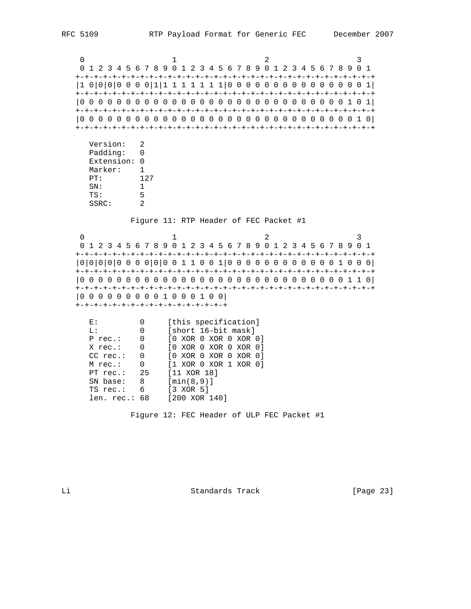0  $1$  2 3 0 1 2 3 4 5 6 7 8 9 0 1 2 3 4 5 6 7 8 9 0 1 2 3 4 5 6 7 8 9 0 1 +-+-+-+-+-+-+-+-+-+-+-+-+-+-+-+-+-+-+-+-+-+-+-+-+-+-+-+-+-+-+-+-+ |1 0|0|0|0 0 0 0|1|1 1 1 1 1 1 1|0 0 0 0 0 0 0 0 0 0 0 0 0 0 0 1| +-+-+-+-+-+-+-+-+-+-+-+-+-+-+-+-+-+-+-+-+-+-+-+-+-+-+-+-+-+-+-+-+ |0 0 0 0 0 0 0 0 0 0 0 0 0 0 0 0 0 0 0 0 0 0 0 0 0 0 0 0 0 1 0 1| +-+-+-+-+-+-+-+-+-+-+-+-+-+-+-+-+-+-+-+-+-+-+-+-+-+-+-+-+-+-+-+-+ |0 0 0 0 0 0 0 0 0 0 0 0 0 0 0 0 0 0 0 0 0 0 0 0 0 0 0 0 0 0 1 0| +-+-+-+-+-+-+-+-+-+-+-+-+-+-+-+-+-+-+-+-+-+-+-+-+-+-+-+-+-+-+-+-+

 Version: 2 Padding: 0 Extension: 0 Marker: 1 PT: 127 SN: 1 TS: 5 SSRC: 2

Figure 11: RTP Header of FEC Packet #1

0  $1$  2 3 0 1 2 3 4 5 6 7 8 9 0 1 2 3 4 5 6 7 8 9 0 1 2 3 4 5 6 7 8 9 0 1 +-+-+-+-+-+-+-+-+-+-+-+-+-+-+-+-+-+-+-+-+-+-+-+-+-+-+-+-+-+-+-+-+ |0|0|0|0|0 0 0 0|0|0 0 1 1 0 0 1|0 0 0 0 0 0 0 0 0 0 0 0 1 0 0 0| +-+-+-+-+-+-+-+-+-+-+-+-+-+-+-+-+-+-+-+-+-+-+-+-+-+-+-+-+-+-+-+-+ |0 0 0 0 0 0 0 0 0 0 0 0 0 0 0 0 0 0 0 0 0 0 0 0 0 0 0 0 0 1 1 0| +-+-+-+-+-+-+-+-+-+-+-+-+-+-+-+-+-+-+-+-+-+-+-+-+-+-+-+-+-+-+-+-+ |0 0 0 0 0 0 0 0 0 1 0 0 0 1 0 0| +-+-+-+-+-+-+-+-+-+-+-+-+-+-+-+-+

| E:              |                   | [this specification]      |
|-----------------|-------------------|---------------------------|
| L:              | 0                 | [short 16-bit mask]       |
| P rec.:         | $\overline{0}$    | $[0 \tXOR 0 XOR 0 XOR 0]$ |
| X rec.: 0       |                   | $[0 \tXOR 0 XOR 0 XOR 0]$ |
| $CC$ rec.:      | $0 \qquad \qquad$ | [0 XOR 0 XOR 0 XOR 0]     |
| M rec.: 0       |                   | [1 XOR 0 XOR 1 XOR 0]     |
| PT $rec.: 25$   |                   | $[11 \t XOR \t 18]$       |
| SN base: 8      |                   | [min(8,9)]                |
| TS rec.:        | 6                 | [3 XOR 5]                 |
| len. $rec.: 68$ |                   | [200 XOR 140]             |

Figure 12: FEC Header of ULP FEC Packet #1

Li Standards Track [Page 23]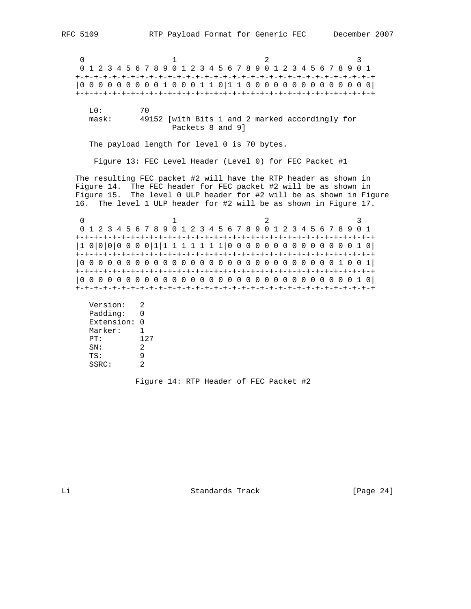0  $1$  2 3 0 1 2 3 4 5 6 7 8 9 0 1 2 3 4 5 6 7 8 9 0 1 2 3 4 5 6 7 8 9 0 1 +-+-+-+-+-+-+-+-+-+-+-+-+-+-+-+-+-+-+-+-+-+-+-+-+-+-+-+-+-+-+-+-+ |0 0 0 0 0 0 0 0 0 1 0 0 0 1 1 0|1 1 0 0 0 0 0 0 0 0 0 0 0 0 0 0| +-+-+-+-+-+-+-+-+-+-+-+-+-+-+-+-+-+-+-+-+-+-+-+-+-+-+-+-+-+-+-+-+ L0: 70

 mask: 49152 [with Bits 1 and 2 marked accordingly for Packets 8 and 9]

The payload length for level 0 is 70 bytes.

Figure 13: FEC Level Header (Level 0) for FEC Packet #1

 The resulting FEC packet #2 will have the RTP header as shown in Figure 14. The FEC header for FEC packet #2 will be as shown in Figure 15. The level 0 ULP header for #2 will be as shown in Figure 16. The level 1 ULP header for #2 will be as shown in Figure 17.

0  $1$  2 3 0 1 2 3 4 5 6 7 8 9 0 1 2 3 4 5 6 7 8 9 0 1 2 3 4 5 6 7 8 9 0 1 +-+-+-+-+-+-+-+-+-+-+-+-+-+-+-+-+-+-+-+-+-+-+-+-+-+-+-+-+-+-+-+-+ |1 0|0|0|0 0 0 0|1|1 1 1 1 1 1 1|0 0 0 0 0 0 0 0 0 0 0 0 0 0 1 0| +-+-+-+-+-+-+-+-+-+-+-+-+-+-+-+-+-+-+-+-+-+-+-+-+-+-+-+-+-+-+-+-+ |0 0 0 0 0 0 0 0 0 0 0 0 0 0 0 0 0 0 0 0 0 0 0 0 0 0 0 0 1 0 0 1| +-+-+-+-+-+-+-+-+-+-+-+-+-+-+-+-+-+-+-+-+-+-+-+-+-+-+-+-+-+-+-+-+ |0 0 0 0 0 0 0 0 0 0 0 0 0 0 0 0 0 0 0 0 0 0 0 0 0 0 0 0 0 0 1 0| +-+-+-+-+-+-+-+-+-+-+-+-+-+-+-+-+-+-+-+-+-+-+-+-+-+-+-+-+-+-+-+-+

```
 Version: 2
 Padding: 0
 Extension: 0
 Marker: 1
 PT: 127
 SN: 2
TS: 9<br>SSRC: 2
SSRC:
```
Figure 14: RTP Header of FEC Packet #2

Li Standards Track [Page 24]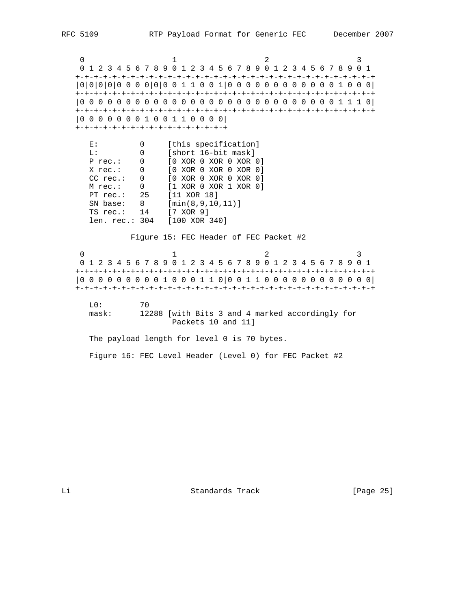0  $1$  2 3 0 1 2 3 4 5 6 7 8 9 0 1 2 3 4 5 6 7 8 9 0 1 2 3 4 5 6 7 8 9 0 1 +-+-+-+-+-+-+-+-+-+-+-+-+-+-+-+-+-+-+-+-+-+-+-+-+-+-+-+-+-+-+-+-+ |0|0|0|0|0 0 0 0|0|0 0 1 1 0 0 1|0 0 0 0 0 0 0 0 0 0 0 0 1 0 0 0| +-+-+-+-+-+-+-+-+-+-+-+-+-+-+-+-+-+-+-+-+-+-+-+-+-+-+-+-+-+-+-+-+ |0 0 0 0 0 0 0 0 0 0 0 0 0 0 0 0 0 0 0 0 0 0 0 0 0 0 0 0 1 1 1 0| +-+-+-+-+-+-+-+-+-+-+-+-+-+-+-+-+-+-+-+-+-+-+-+-+-+-+-+-+-+-+-+-+ |0 0 0 0 0 0 0 1 0 0 1 1 0 0 0 0| +-+-+-+-+-+-+-+-+-+-+-+-+-+-+-+-+ E: 0 [this specification]<br>
L: 0 [short 16-bit mask] L: 0 [short 16-bit mask] P rec.: 0 [0 XOR 0 XOR 0 XOR 0] X rec.: 0 [0 XOR 0 XOR 0 XOR 0] CC rec.: 0 [0 XOR 0 XOR 0 XOR 0] M rec.: 0 [1 XOR 0 XOR 1 XOR 0] PT rec.: 25 [11 XOR 18] SN base: 8 [min(8,9,10,11)] TS rec.: 14 [7 XOR 9] len. rec.: 304 [100 XOR 340] Figure 15: FEC Header of FEC Packet #2 0  $1$  2 3 0 1 2 3 4 5 6 7 8 9 0 1 2 3 4 5 6 7 8 9 0 1 2 3 4 5 6 7 8 9 0 1 +-+-+-+-+-+-+-+-+-+-+-+-+-+-+-+-+-+-+-+-+-+-+-+-+-+-+-+-+-+-+-+-+ |0 0 0 0 0 0 0 0 0 1 0 0 0 1 1 0|0 0 1 1 0 0 0 0 0 0 0 0 0 0 0 0| +-+-+-+-+-+-+-+-+-+-+-+-+-+-+-+-+-+-+-+-+-+-+-+-+-+-+-+-+-+-+-+-+ L0: 70 mask: 12288 [with Bits 3 and 4 marked accordingly for Packets 10 and 11] The payload length for level 0 is 70 bytes. Figure 16: FEC Level Header (Level 0) for FEC Packet #2

Li Standards Track [Page 25]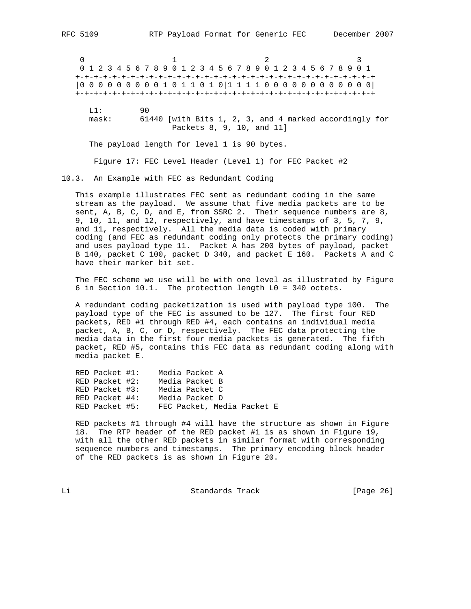0  $1$  2 3 0 1 2 3 4 5 6 7 8 9 0 1 2 3 4 5 6 7 8 9 0 1 2 3 4 5 6 7 8 9 0 1 +-+-+-+-+-+-+-+-+-+-+-+-+-+-+-+-+-+-+-+-+-+-+-+-+-+-+-+-+-+-+-+-+ |0 0 0 0 0 0 0 0 0 1 0 1 1 0 1 0|1 1 1 1 0 0 0 0 0 0 0 0 0 0 0 0| +-+-+-+-+-+-+-+-+-+-+-+-+-+-+-+-+-+-+-+-+-+-+-+-+-+-+-+-+-+-+-+-+ L1: 90 mask: 61440 [with Bits 1, 2, 3, and 4 marked accordingly for Packets 8, 9, 10, and 11]

The payload length for level 1 is 90 bytes.

Figure 17: FEC Level Header (Level 1) for FEC Packet #2

10.3. An Example with FEC as Redundant Coding

 This example illustrates FEC sent as redundant coding in the same stream as the payload. We assume that five media packets are to be sent, A, B, C, D, and E, from SSRC 2. Their sequence numbers are 8, 9, 10, 11, and 12, respectively, and have timestamps of 3, 5, 7, 9, and 11, respectively. All the media data is coded with primary coding (and FEC as redundant coding only protects the primary coding) and uses payload type 11. Packet A has 200 bytes of payload, packet B 140, packet C 100, packet D 340, and packet E 160. Packets A and C have their marker bit set.

 The FEC scheme we use will be with one level as illustrated by Figure 6 in Section 10.1. The protection length L0 = 340 octets.

 A redundant coding packetization is used with payload type 100. The payload type of the FEC is assumed to be 127. The first four RED packets, RED #1 through RED #4, each contains an individual media packet, A, B, C, or D, respectively. The FEC data protecting the media data in the first four media packets is generated. The fifth packet, RED #5, contains this FEC data as redundant coding along with media packet E.

 RED Packet #1: Media Packet A RED Packet #2: Media Packet B RED Packet #3: Media Packet C RED Packet #4: Media Packet D RED Packet #5: FEC Packet, Media Packet E

 RED packets #1 through #4 will have the structure as shown in Figure 18. The RTP header of the RED packet #1 is as shown in Figure 19, with all the other RED packets in similar format with corresponding sequence numbers and timestamps. The primary encoding block header of the RED packets is as shown in Figure 20.

Li Standards Track [Page 26]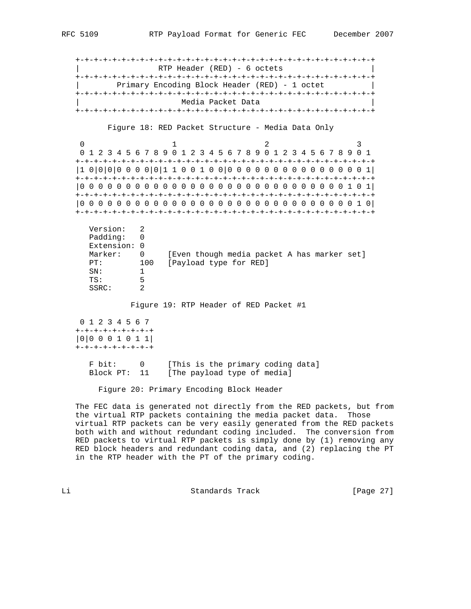+-+-+-+-+-+-+-+-+-+-+-+-+-+-+-+-+-+-+-+-+-+-+-+-+-+-+-+-+-+-+-+-+ RTP Header (RED) - 6 octets +-+-+-+-+-+-+-+-+-+-+-+-+-+-+-+-+-+-+-+-+-+-+-+-+-+-+-+-+-+-+-+-+ | Primary Encoding Block Header (RED) - 1 octet | +-+-+-+-+-+-+-+-+-+-+-+-+-+-+-+-+-+-+-+-+-+-+-+-+-+-+-+-+-+-+-+-+ Media Packet Data +-+-+-+-+-+-+-+-+-+-+-+-+-+-+-+-+-+-+-+-+-+-+-+-+-+-+-+-+-+-+-+-+

Figure 18: RED Packet Structure - Media Data Only

0  $1$  2 3 0 1 2 3 4 5 6 7 8 9 0 1 2 3 4 5 6 7 8 9 0 1 2 3 4 5 6 7 8 9 0 1 +-+-+-+-+-+-+-+-+-+-+-+-+-+-+-+-+-+-+-+-+-+-+-+-+-+-+-+-+-+-+-+-+ |1 0|0|0|0 0 0 0|0|1 1 0 0 1 0 0|0 0 0 0 0 0 0 0 0 0 0 0 0 0 0 1| +-+-+-+-+-+-+-+-+-+-+-+-+-+-+-+-+-+-+-+-+-+-+-+-+-+-+-+-+-+-+-+-+ |0 0 0 0 0 0 0 0 0 0 0 0 0 0 0 0 0 0 0 0 0 0 0 0 0 0 0 0 0 1 0 1| +-+-+-+-+-+-+-+-+-+-+-+-+-+-+-+-+-+-+-+-+-+-+-+-+-+-+-+-+-+-+-+-+ |0 0 0 0 0 0 0 0 0 0 0 0 0 0 0 0 0 0 0 0 0 0 0 0 0 0 0 0 0 0 1 0| +-+-+-+-+-+-+-+-+-+-+-+-+-+-+-+-+-+-+-+-+-+-+-+-+-+-+-+-+-+-+-+-+

| Version:<br>Padding:<br>Extension: 0<br>Marker: | $\Omega$ | [Even though media packet A has marker set] |
|-------------------------------------------------|----------|---------------------------------------------|
| PT:                                             | 100      | [Payload type for RED]                      |
| SN:                                             |          |                                             |
| TS:                                             | 5        |                                             |
| SSRC:                                           |          |                                             |

Figure 19: RTP Header of RED Packet #1

```
 0 1 2 3 4 5 6 7
 +-+-+-+-+-+-+-+-+
 |0|0 0 0 1 0 1 1|
 +-+-+-+-+-+-+-+-+
```
 F bit: 0 [This is the primary coding data] Block PT: 11 [The payload type of media]

Figure 20: Primary Encoding Block Header

 The FEC data is generated not directly from the RED packets, but from the virtual RTP packets containing the media packet data. Those virtual RTP packets can be very easily generated from the RED packets both with and without redundant coding included. The conversion from RED packets to virtual RTP packets is simply done by (1) removing any RED block headers and redundant coding data, and (2) replacing the PT in the RTP header with the PT of the primary coding.

Li Standards Track [Page 27]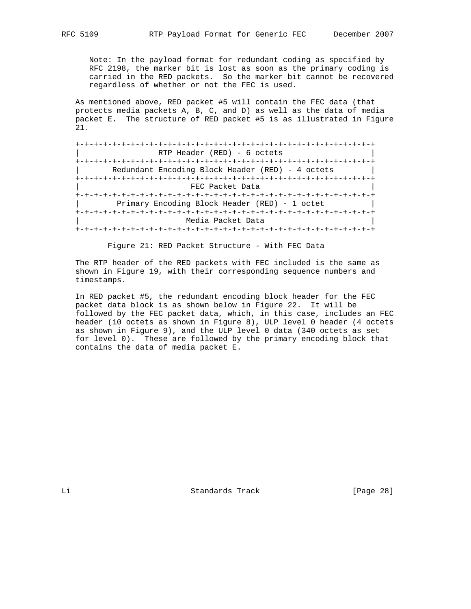Note: In the payload format for redundant coding as specified by RFC 2198, the marker bit is lost as soon as the primary coding is carried in the RED packets. So the marker bit cannot be recovered regardless of whether or not the FEC is used.

 As mentioned above, RED packet #5 will contain the FEC data (that protects media packets A, B, C, and D) as well as the data of media packet E. The structure of RED packet #5 is as illustrated in Figure 21.

| RTP Header $(RED) - 6$ octets                    |
|--------------------------------------------------|
|                                                  |
| Redundant Encoding Block Header (RED) - 4 octets |
|                                                  |
| FEC Packet Data                                  |
|                                                  |
| Primary Encoding Block Header (RED) - 1 octet    |
|                                                  |
| Media Packet Data                                |
|                                                  |

Figure 21: RED Packet Structure - With FEC Data

 The RTP header of the RED packets with FEC included is the same as shown in Figure 19, with their corresponding sequence numbers and timestamps.

 In RED packet #5, the redundant encoding block header for the FEC packet data block is as shown below in Figure 22. It will be followed by the FEC packet data, which, in this case, includes an FEC header (10 octets as shown in Figure 8), ULP level 0 header (4 octets as shown in Figure 9), and the ULP level 0 data (340 octets as set for level 0). These are followed by the primary encoding block that contains the data of media packet E.

Li Standards Track [Page 28]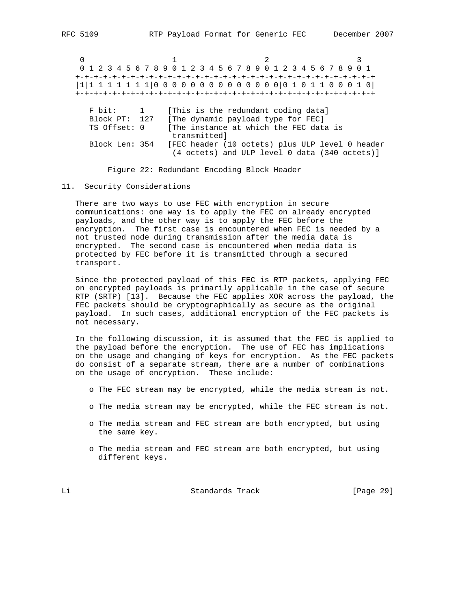0  $1$  2 3 0 1 2 3 4 5 6 7 8 9 0 1 2 3 4 5 6 7 8 9 0 1 2 3 4 5 6 7 8 9 0 1 +-+-+-+-+-+-+-+-+-+-+-+-+-+-+-+-+-+-+-+-+-+-+-+-+-+-+-+-+-+-+-+-+ |1|1 1 1 1 1 1 1|0 0 0 0 0 0 0 0 0 0 0 0 0 0|0 1 0 1 1 0 0 0 1 0| +-+-+-+-+-+-+-+-+-+-+-+-+-+-+-+-+-+-+-+-+-+-+-+-+-+-+-+-+-+-+-+-+ F bit: 1 [This is the redundant coding data] Block PT: 127 [The dynamic payload type for FEC] TS Offset: 0 [The instance at which the FEC data is transmitted] Block Len: 354 [FEC header (10 octets) plus ULP level 0 header (4 octets) and ULP level 0 data (340 octets)]

Figure 22: Redundant Encoding Block Header

### 11. Security Considerations

 There are two ways to use FEC with encryption in secure communications: one way is to apply the FEC on already encrypted payloads, and the other way is to apply the FEC before the encryption. The first case is encountered when FEC is needed by a not trusted node during transmission after the media data is encrypted. The second case is encountered when media data is protected by FEC before it is transmitted through a secured transport.

 Since the protected payload of this FEC is RTP packets, applying FEC on encrypted payloads is primarily applicable in the case of secure RTP (SRTP) [13]. Because the FEC applies XOR across the payload, the FEC packets should be cryptographically as secure as the original payload. In such cases, additional encryption of the FEC packets is not necessary.

 In the following discussion, it is assumed that the FEC is applied to the payload before the encryption. The use of FEC has implications on the usage and changing of keys for encryption. As the FEC packets do consist of a separate stream, there are a number of combinations on the usage of encryption. These include:

o The FEC stream may be encrypted, while the media stream is not.

- o The media stream may be encrypted, while the FEC stream is not.
- o The media stream and FEC stream are both encrypted, but using the same key.
- o The media stream and FEC stream are both encrypted, but using different keys.

Li Standards Track [Page 29]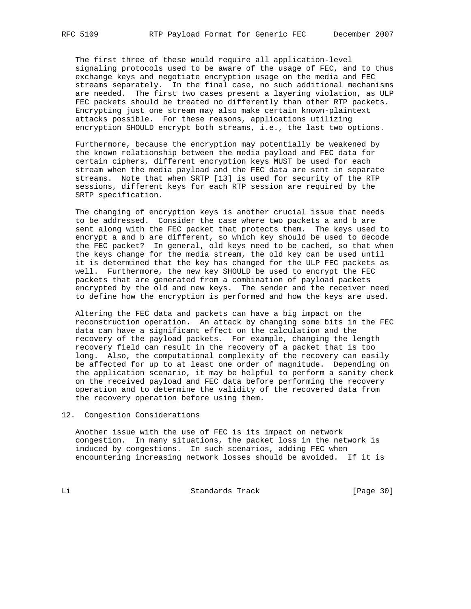The first three of these would require all application-level signaling protocols used to be aware of the usage of FEC, and to thus exchange keys and negotiate encryption usage on the media and FEC streams separately. In the final case, no such additional mechanisms are needed. The first two cases present a layering violation, as ULP FEC packets should be treated no differently than other RTP packets. Encrypting just one stream may also make certain known-plaintext attacks possible. For these reasons, applications utilizing encryption SHOULD encrypt both streams, i.e., the last two options.

 Furthermore, because the encryption may potentially be weakened by the known relationship between the media payload and FEC data for certain ciphers, different encryption keys MUST be used for each stream when the media payload and the FEC data are sent in separate streams. Note that when SRTP [13] is used for security of the RTP sessions, different keys for each RTP session are required by the SRTP specification.

 The changing of encryption keys is another crucial issue that needs to be addressed. Consider the case where two packets a and b are sent along with the FEC packet that protects them. The keys used to encrypt a and b are different, so which key should be used to decode the FEC packet? In general, old keys need to be cached, so that when the keys change for the media stream, the old key can be used until it is determined that the key has changed for the ULP FEC packets as well. Furthermore, the new key SHOULD be used to encrypt the FEC packets that are generated from a combination of payload packets encrypted by the old and new keys. The sender and the receiver need to define how the encryption is performed and how the keys are used.

 Altering the FEC data and packets can have a big impact on the reconstruction operation. An attack by changing some bits in the FEC data can have a significant effect on the calculation and the recovery of the payload packets. For example, changing the length recovery field can result in the recovery of a packet that is too long. Also, the computational complexity of the recovery can easily be affected for up to at least one order of magnitude. Depending on the application scenario, it may be helpful to perform a sanity check on the received payload and FEC data before performing the recovery operation and to determine the validity of the recovered data from the recovery operation before using them.

### 12. Congestion Considerations

 Another issue with the use of FEC is its impact on network congestion. In many situations, the packet loss in the network is induced by congestions. In such scenarios, adding FEC when encountering increasing network losses should be avoided. If it is

Li Standards Track [Page 30]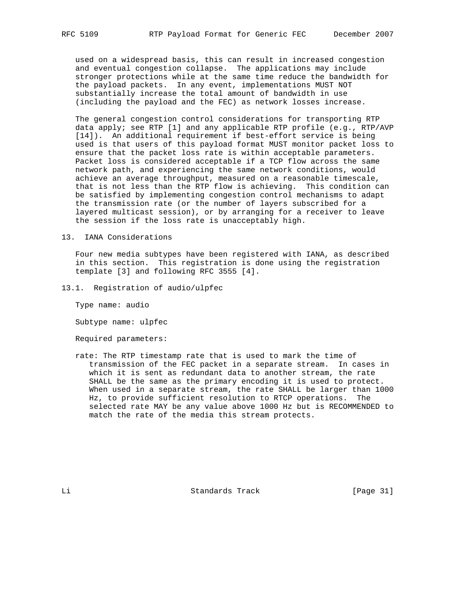used on a widespread basis, this can result in increased congestion and eventual congestion collapse. The applications may include stronger protections while at the same time reduce the bandwidth for the payload packets. In any event, implementations MUST NOT substantially increase the total amount of bandwidth in use (including the payload and the FEC) as network losses increase.

 The general congestion control considerations for transporting RTP data apply; see RTP [1] and any applicable RTP profile (e.g., RTP/AVP [14]). An additional requirement if best-effort service is being used is that users of this payload format MUST monitor packet loss to ensure that the packet loss rate is within acceptable parameters. Packet loss is considered acceptable if a TCP flow across the same network path, and experiencing the same network conditions, would achieve an average throughput, measured on a reasonable timescale, that is not less than the RTP flow is achieving. This condition can be satisfied by implementing congestion control mechanisms to adapt the transmission rate (or the number of layers subscribed for a layered multicast session), or by arranging for a receiver to leave the session if the loss rate is unacceptably high.

### 13. IANA Considerations

 Four new media subtypes have been registered with IANA, as described in this section. This registration is done using the registration template [3] and following RFC 3555 [4].

13.1. Registration of audio/ulpfec

Type name: audio

Subtype name: ulpfec

Required parameters:

 rate: The RTP timestamp rate that is used to mark the time of transmission of the FEC packet in a separate stream. In cases in which it is sent as redundant data to another stream, the rate SHALL be the same as the primary encoding it is used to protect. When used in a separate stream, the rate SHALL be larger than 1000 Hz, to provide sufficient resolution to RTCP operations. The selected rate MAY be any value above 1000 Hz but is RECOMMENDED to match the rate of the media this stream protects.

Li Standards Track [Page 31]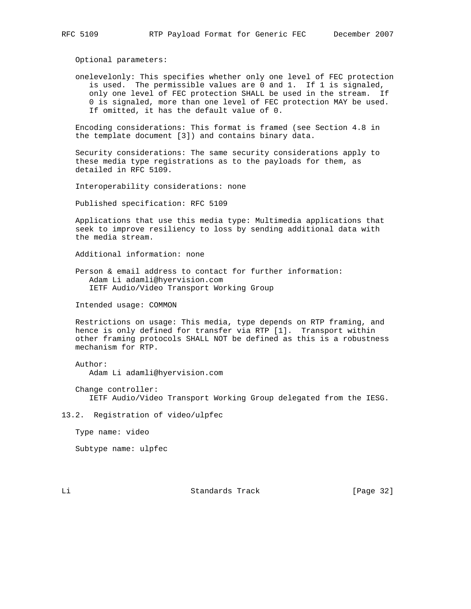Optional parameters:

 onelevelonly: This specifies whether only one level of FEC protection is used. The permissible values are 0 and 1. If 1 is signaled, only one level of FEC protection SHALL be used in the stream. If 0 is signaled, more than one level of FEC protection MAY be used. If omitted, it has the default value of 0.

 Encoding considerations: This format is framed (see Section 4.8 in the template document [3]) and contains binary data.

 Security considerations: The same security considerations apply to these media type registrations as to the payloads for them, as detailed in RFC 5109.

Interoperability considerations: none

Published specification: RFC 5109

 Applications that use this media type: Multimedia applications that seek to improve resiliency to loss by sending additional data with the media stream.

Additional information: none

 Person & email address to contact for further information: Adam Li adamli@hyervision.com IETF Audio/Video Transport Working Group

Intended usage: COMMON

 Restrictions on usage: This media, type depends on RTP framing, and hence is only defined for transfer via RTP [1]. Transport within other framing protocols SHALL NOT be defined as this is a robustness mechanism for RTP.

Author:

Adam Li adamli@hyervision.com

 Change controller: IETF Audio/Video Transport Working Group delegated from the IESG.

13.2. Registration of video/ulpfec

Type name: video

Subtype name: ulpfec

Li Standards Track [Page 32]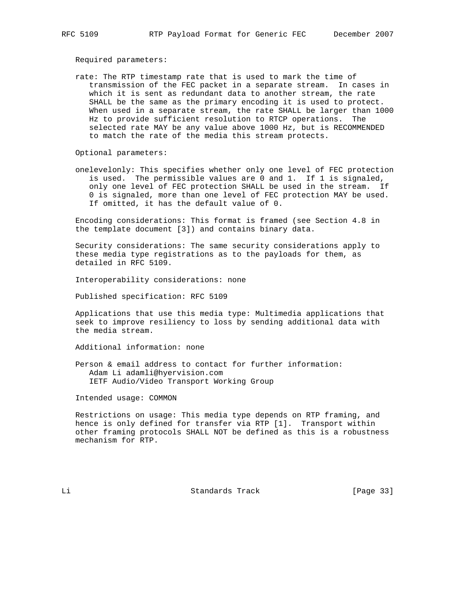Required parameters:

 rate: The RTP timestamp rate that is used to mark the time of transmission of the FEC packet in a separate stream. In cases in which it is sent as redundant data to another stream, the rate SHALL be the same as the primary encoding it is used to protect. When used in a separate stream, the rate SHALL be larger than 1000 Hz to provide sufficient resolution to RTCP operations. The selected rate MAY be any value above 1000 Hz, but is RECOMMENDED to match the rate of the media this stream protects.

Optional parameters:

 onelevelonly: This specifies whether only one level of FEC protection is used. The permissible values are 0 and 1. If 1 is signaled, only one level of FEC protection SHALL be used in the stream. If 0 is signaled, more than one level of FEC protection MAY be used. If omitted, it has the default value of 0.

 Encoding considerations: This format is framed (see Section 4.8 in the template document [3]) and contains binary data.

 Security considerations: The same security considerations apply to these media type registrations as to the payloads for them, as detailed in RFC 5109.

Interoperability considerations: none

Published specification: RFC 5109

 Applications that use this media type: Multimedia applications that seek to improve resiliency to loss by sending additional data with the media stream.

Additional information: none

 Person & email address to contact for further information: Adam Li adamli@hyervision.com IETF Audio/Video Transport Working Group

Intended usage: COMMON

 Restrictions on usage: This media type depends on RTP framing, and hence is only defined for transfer via RTP [1]. Transport within other framing protocols SHALL NOT be defined as this is a robustness mechanism for RTP.

Li Standards Track [Page 33]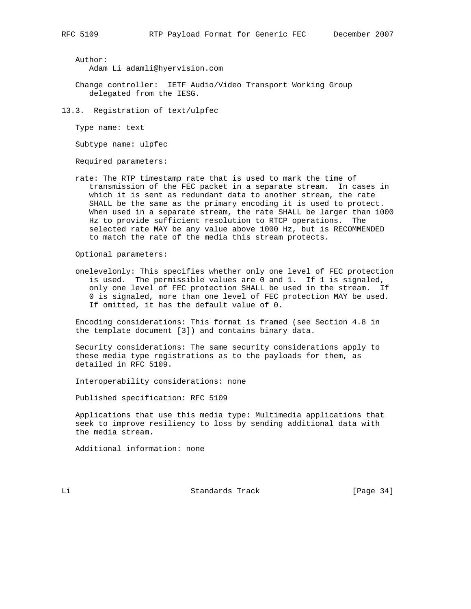Author:

Adam Li adamli@hyervision.com

- Change controller: IETF Audio/Video Transport Working Group delegated from the IESG.
- 13.3. Registration of text/ulpfec

Type name: text

Subtype name: ulpfec

Required parameters:

 rate: The RTP timestamp rate that is used to mark the time of transmission of the FEC packet in a separate stream. In cases in which it is sent as redundant data to another stream, the rate SHALL be the same as the primary encoding it is used to protect. When used in a separate stream, the rate SHALL be larger than 1000 Hz to provide sufficient resolution to RTCP operations. The selected rate MAY be any value above 1000 Hz, but is RECOMMENDED to match the rate of the media this stream protects.

Optional parameters:

 onelevelonly: This specifies whether only one level of FEC protection is used. The permissible values are 0 and 1. If 1 is signaled, only one level of FEC protection SHALL be used in the stream. If 0 is signaled, more than one level of FEC protection MAY be used. If omitted, it has the default value of 0.

 Encoding considerations: This format is framed (see Section 4.8 in the template document [3]) and contains binary data.

 Security considerations: The same security considerations apply to these media type registrations as to the payloads for them, as detailed in RFC 5109.

Interoperability considerations: none

Published specification: RFC 5109

 Applications that use this media type: Multimedia applications that seek to improve resiliency to loss by sending additional data with the media stream.

Additional information: none

Li Standards Track [Page 34]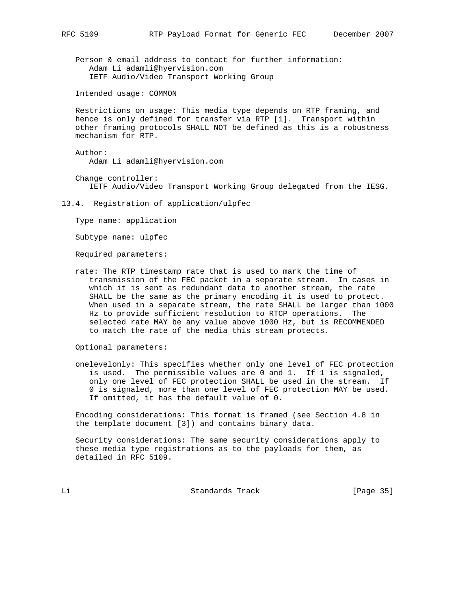Person & email address to contact for further information: Adam Li adamli@hyervision.com IETF Audio/Video Transport Working Group

Intended usage: COMMON

 Restrictions on usage: This media type depends on RTP framing, and hence is only defined for transfer via RTP [1]. Transport within other framing protocols SHALL NOT be defined as this is a robustness mechanism for RTP.

 Author: Adam Li adamli@hyervision.com

 Change controller: IETF Audio/Video Transport Working Group delegated from the IESG.

13.4. Registration of application/ulpfec

Type name: application

Subtype name: ulpfec

Required parameters:

 rate: The RTP timestamp rate that is used to mark the time of transmission of the FEC packet in a separate stream. In cases in which it is sent as redundant data to another stream, the rate SHALL be the same as the primary encoding it is used to protect. When used in a separate stream, the rate SHALL be larger than 1000 Hz to provide sufficient resolution to RTCP operations. The selected rate MAY be any value above 1000 Hz, but is RECOMMENDED to match the rate of the media this stream protects.

Optional parameters:

 onelevelonly: This specifies whether only one level of FEC protection is used. The permissible values are 0 and 1. If 1 is signaled, only one level of FEC protection SHALL be used in the stream. If 0 is signaled, more than one level of FEC protection MAY be used. If omitted, it has the default value of 0.

 Encoding considerations: This format is framed (see Section 4.8 in the template document [3]) and contains binary data.

 Security considerations: The same security considerations apply to these media type registrations as to the payloads for them, as detailed in RFC 5109.

Li Standards Track [Page 35]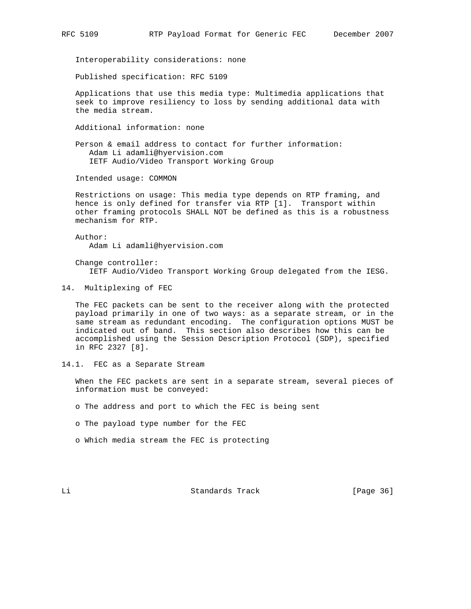Interoperability considerations: none

Published specification: RFC 5109

 Applications that use this media type: Multimedia applications that seek to improve resiliency to loss by sending additional data with the media stream.

Additional information: none

 Person & email address to contact for further information: Adam Li adamli@hyervision.com IETF Audio/Video Transport Working Group

Intended usage: COMMON

 Restrictions on usage: This media type depends on RTP framing, and hence is only defined for transfer via RTP [1]. Transport within other framing protocols SHALL NOT be defined as this is a robustness mechanism for RTP.

 Author: Adam Li adamli@hyervision.com

 Change controller: IETF Audio/Video Transport Working Group delegated from the IESG.

14. Multiplexing of FEC

 The FEC packets can be sent to the receiver along with the protected payload primarily in one of two ways: as a separate stream, or in the same stream as redundant encoding. The configuration options MUST be indicated out of band. This section also describes how this can be accomplished using the Session Description Protocol (SDP), specified in RFC 2327 [8].

14.1. FEC as a Separate Stream

 When the FEC packets are sent in a separate stream, several pieces of information must be conveyed:

o The address and port to which the FEC is being sent

o The payload type number for the FEC

o Which media stream the FEC is protecting

Li Standards Track [Page 36]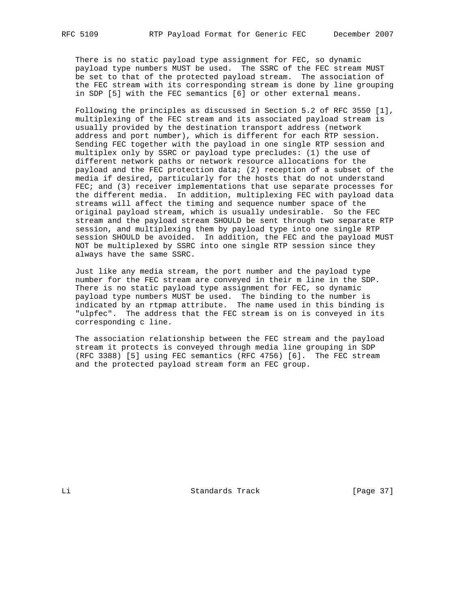There is no static payload type assignment for FEC, so dynamic payload type numbers MUST be used. The SSRC of the FEC stream MUST be set to that of the protected payload stream. The association of the FEC stream with its corresponding stream is done by line grouping in SDP [5] with the FEC semantics [6] or other external means.

 Following the principles as discussed in Section 5.2 of RFC 3550 [1], multiplexing of the FEC stream and its associated payload stream is usually provided by the destination transport address (network address and port number), which is different for each RTP session. Sending FEC together with the payload in one single RTP session and multiplex only by SSRC or payload type precludes: (1) the use of different network paths or network resource allocations for the payload and the FEC protection data; (2) reception of a subset of the media if desired, particularly for the hosts that do not understand FEC; and (3) receiver implementations that use separate processes for the different media. In addition, multiplexing FEC with payload data streams will affect the timing and sequence number space of the original payload stream, which is usually undesirable. So the FEC stream and the payload stream SHOULD be sent through two separate RTP session, and multiplexing them by payload type into one single RTP session SHOULD be avoided. In addition, the FEC and the payload MUST NOT be multiplexed by SSRC into one single RTP session since they always have the same SSRC.

 Just like any media stream, the port number and the payload type number for the FEC stream are conveyed in their m line in the SDP. There is no static payload type assignment for FEC, so dynamic payload type numbers MUST be used. The binding to the number is indicated by an rtpmap attribute. The name used in this binding is "ulpfec". The address that the FEC stream is on is conveyed in its corresponding c line.

 The association relationship between the FEC stream and the payload stream it protects is conveyed through media line grouping in SDP (RFC 3388) [5] using FEC semantics (RFC 4756) [6]. The FEC stream and the protected payload stream form an FEC group.

Li Standards Track [Page 37]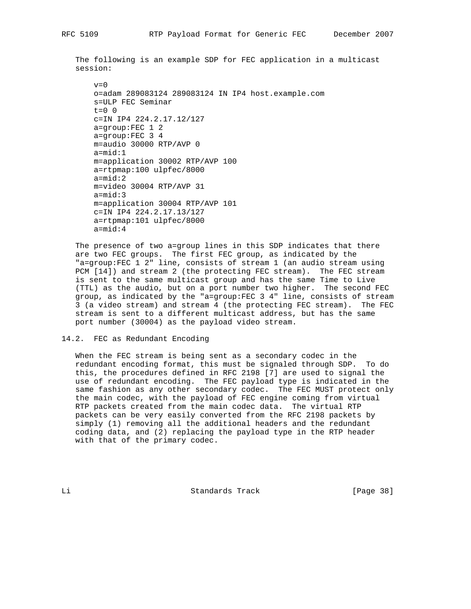The following is an example SDP for FEC application in a multicast session:

```
v=0 o=adam 289083124 289083124 IN IP4 host.example.com
 s=ULP FEC Seminar
t=0 0
 c=IN IP4 224.2.17.12/127
 a=group:FEC 1 2
 a=group:FEC 3 4
 m=audio 30000 RTP/AVP 0
 a=mid:1
 m=application 30002 RTP/AVP 100
 a=rtpmap:100 ulpfec/8000
 a=mid:2
 m=video 30004 RTP/AVP 31
 a=mid:3
 m=application 30004 RTP/AVP 101
 c=IN IP4 224.2.17.13/127
 a=rtpmap:101 ulpfec/8000
 a=mid:4
```
 The presence of two a=group lines in this SDP indicates that there are two FEC groups. The first FEC group, as indicated by the "a=group:FEC 1 2" line, consists of stream 1 (an audio stream using PCM [14]) and stream 2 (the protecting FEC stream). The FEC stream is sent to the same multicast group and has the same Time to Live (TTL) as the audio, but on a port number two higher. The second FEC group, as indicated by the "a=group:FEC 3 4" line, consists of stream 3 (a video stream) and stream 4 (the protecting FEC stream). The FEC stream is sent to a different multicast address, but has the same port number (30004) as the payload video stream.

14.2. FEC as Redundant Encoding

 When the FEC stream is being sent as a secondary codec in the redundant encoding format, this must be signaled through SDP. To do this, the procedures defined in RFC 2198 [7] are used to signal the use of redundant encoding. The FEC payload type is indicated in the same fashion as any other secondary codec. The FEC MUST protect only the main codec, with the payload of FEC engine coming from virtual RTP packets created from the main codec data. The virtual RTP packets can be very easily converted from the RFC 2198 packets by simply (1) removing all the additional headers and the redundant coding data, and (2) replacing the payload type in the RTP header with that of the primary codec.

Li Standards Track [Page 38]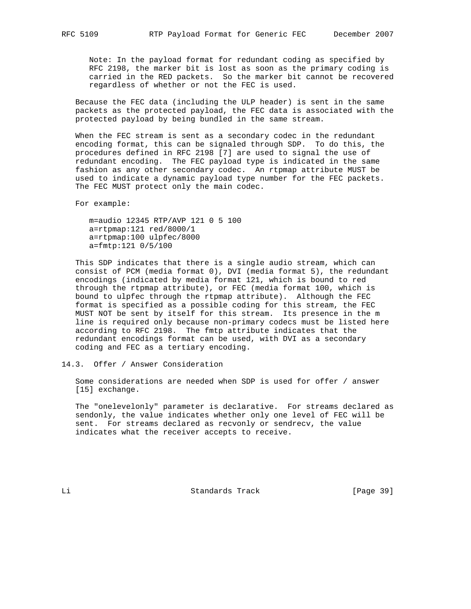Note: In the payload format for redundant coding as specified by RFC 2198, the marker bit is lost as soon as the primary coding is carried in the RED packets. So the marker bit cannot be recovered regardless of whether or not the FEC is used.

 Because the FEC data (including the ULP header) is sent in the same packets as the protected payload, the FEC data is associated with the protected payload by being bundled in the same stream.

 When the FEC stream is sent as a secondary codec in the redundant encoding format, this can be signaled through SDP. To do this, the procedures defined in RFC 2198 [7] are used to signal the use of redundant encoding. The FEC payload type is indicated in the same fashion as any other secondary codec. An rtpmap attribute MUST be used to indicate a dynamic payload type number for the FEC packets. The FEC MUST protect only the main codec.

For example:

 m=audio 12345 RTP/AVP 121 0 5 100 a=rtpmap:121 red/8000/1 a=rtpmap:100 ulpfec/8000 a=fmtp:121 0/5/100

 This SDP indicates that there is a single audio stream, which can consist of PCM (media format 0), DVI (media format 5), the redundant encodings (indicated by media format 121, which is bound to red through the rtpmap attribute), or FEC (media format 100, which is bound to ulpfec through the rtpmap attribute). Although the FEC format is specified as a possible coding for this stream, the FEC MUST NOT be sent by itself for this stream. Its presence in the m line is required only because non-primary codecs must be listed here according to RFC 2198. The fmtp attribute indicates that the redundant encodings format can be used, with DVI as a secondary coding and FEC as a tertiary encoding.

14.3. Offer / Answer Consideration

 Some considerations are needed when SDP is used for offer / answer [15] exchange.

 The "onelevelonly" parameter is declarative. For streams declared as sendonly, the value indicates whether only one level of FEC will be sent. For streams declared as recvonly or sendrecv, the value indicates what the receiver accepts to receive.

Li Standards Track [Page 39]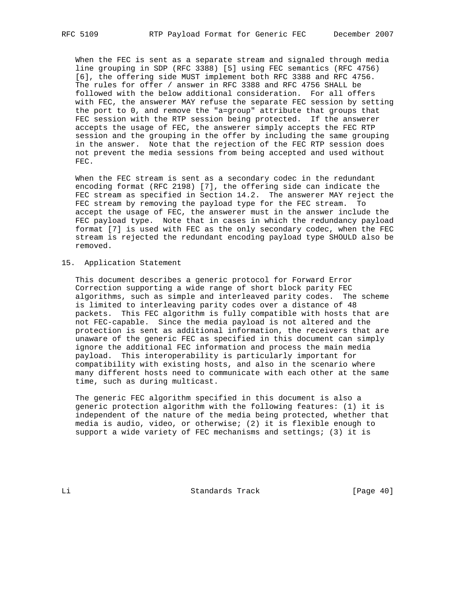When the FEC is sent as a separate stream and signaled through media line grouping in SDP (RFC 3388) [5] using FEC semantics (RFC 4756) [6], the offering side MUST implement both RFC 3388 and RFC 4756. The rules for offer / answer in RFC 3388 and RFC 4756 SHALL be followed with the below additional consideration. For all offers with FEC, the answerer MAY refuse the separate FEC session by setting the port to 0, and remove the "a=group" attribute that groups that FEC session with the RTP session being protected. If the answerer accepts the usage of FEC, the answerer simply accepts the FEC RTP session and the grouping in the offer by including the same grouping in the answer. Note that the rejection of the FEC RTP session does not prevent the media sessions from being accepted and used without FEC.

 When the FEC stream is sent as a secondary codec in the redundant encoding format (RFC 2198) [7], the offering side can indicate the FEC stream as specified in Section 14.2. The answerer MAY reject the FEC stream by removing the payload type for the FEC stream. To accept the usage of FEC, the answerer must in the answer include the FEC payload type. Note that in cases in which the redundancy payload format [7] is used with FEC as the only secondary codec, when the FEC stream is rejected the redundant encoding payload type SHOULD also be removed.

#### 15. Application Statement

 This document describes a generic protocol for Forward Error Correction supporting a wide range of short block parity FEC algorithms, such as simple and interleaved parity codes. The scheme is limited to interleaving parity codes over a distance of 48 packets. This FEC algorithm is fully compatible with hosts that are not FEC-capable. Since the media payload is not altered and the protection is sent as additional information, the receivers that are unaware of the generic FEC as specified in this document can simply ignore the additional FEC information and process the main media payload. This interoperability is particularly important for compatibility with existing hosts, and also in the scenario where many different hosts need to communicate with each other at the same time, such as during multicast.

 The generic FEC algorithm specified in this document is also a generic protection algorithm with the following features: (1) it is independent of the nature of the media being protected, whether that media is audio, video, or otherwise; (2) it is flexible enough to support a wide variety of FEC mechanisms and settings; (3) it is

Li Standards Track [Page 40]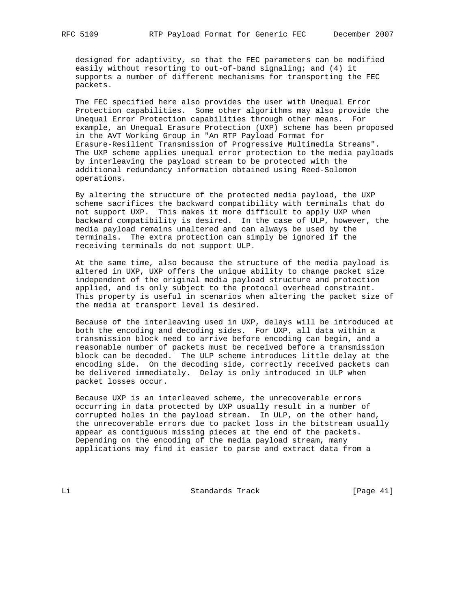designed for adaptivity, so that the FEC parameters can be modified easily without resorting to out-of-band signaling; and (4) it supports a number of different mechanisms for transporting the FEC packets.

 The FEC specified here also provides the user with Unequal Error Protection capabilities. Some other algorithms may also provide the Unequal Error Protection capabilities through other means. For example, an Unequal Erasure Protection (UXP) scheme has been proposed in the AVT Working Group in "An RTP Payload Format for Erasure-Resilient Transmission of Progressive Multimedia Streams". The UXP scheme applies unequal error protection to the media payloads by interleaving the payload stream to be protected with the additional redundancy information obtained using Reed-Solomon operations.

 By altering the structure of the protected media payload, the UXP scheme sacrifices the backward compatibility with terminals that do not support UXP. This makes it more difficult to apply UXP when backward compatibility is desired. In the case of ULP, however, the media payload remains unaltered and can always be used by the terminals. The extra protection can simply be ignored if the receiving terminals do not support ULP.

 At the same time, also because the structure of the media payload is altered in UXP, UXP offers the unique ability to change packet size independent of the original media payload structure and protection applied, and is only subject to the protocol overhead constraint. This property is useful in scenarios when altering the packet size of the media at transport level is desired.

 Because of the interleaving used in UXP, delays will be introduced at both the encoding and decoding sides. For UXP, all data within a transmission block need to arrive before encoding can begin, and a reasonable number of packets must be received before a transmission block can be decoded. The ULP scheme introduces little delay at the encoding side. On the decoding side, correctly received packets can be delivered immediately. Delay is only introduced in ULP when packet losses occur.

 Because UXP is an interleaved scheme, the unrecoverable errors occurring in data protected by UXP usually result in a number of corrupted holes in the payload stream. In ULP, on the other hand, the unrecoverable errors due to packet loss in the bitstream usually appear as contiguous missing pieces at the end of the packets. Depending on the encoding of the media payload stream, many applications may find it easier to parse and extract data from a

Li Standards Track [Page 41]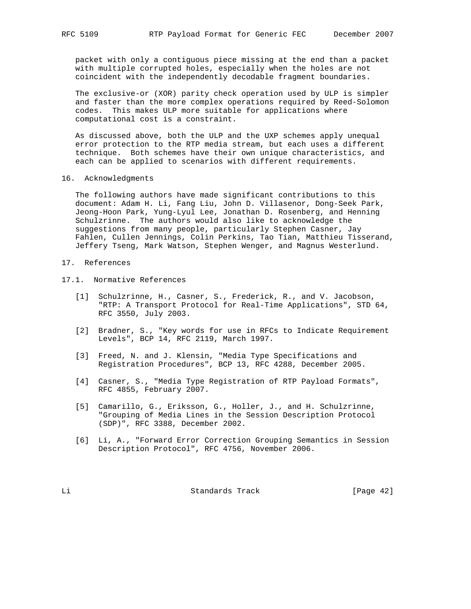packet with only a contiguous piece missing at the end than a packet with multiple corrupted holes, especially when the holes are not coincident with the independently decodable fragment boundaries.

 The exclusive-or (XOR) parity check operation used by ULP is simpler and faster than the more complex operations required by Reed-Solomon codes. This makes ULP more suitable for applications where computational cost is a constraint.

 As discussed above, both the ULP and the UXP schemes apply unequal error protection to the RTP media stream, but each uses a different technique. Both schemes have their own unique characteristics, and each can be applied to scenarios with different requirements.

16. Acknowledgments

 The following authors have made significant contributions to this document: Adam H. Li, Fang Liu, John D. Villasenor, Dong-Seek Park, Jeong-Hoon Park, Yung-Lyul Lee, Jonathan D. Rosenberg, and Henning Schulzrinne. The authors would also like to acknowledge the suggestions from many people, particularly Stephen Casner, Jay Fahlen, Cullen Jennings, Colin Perkins, Tao Tian, Matthieu Tisserand, Jeffery Tseng, Mark Watson, Stephen Wenger, and Magnus Westerlund.

### 17. References

- 17.1. Normative References
	- [1] Schulzrinne, H., Casner, S., Frederick, R., and V. Jacobson, "RTP: A Transport Protocol for Real-Time Applications", STD 64, RFC 3550, July 2003.
	- [2] Bradner, S., "Key words for use in RFCs to Indicate Requirement Levels", BCP 14, RFC 2119, March 1997.
	- [3] Freed, N. and J. Klensin, "Media Type Specifications and Registration Procedures", BCP 13, RFC 4288, December 2005.
	- [4] Casner, S., "Media Type Registration of RTP Payload Formats", RFC 4855, February 2007.
	- [5] Camarillo, G., Eriksson, G., Holler, J., and H. Schulzrinne, "Grouping of Media Lines in the Session Description Protocol (SDP)", RFC 3388, December 2002.
	- [6] Li, A., "Forward Error Correction Grouping Semantics in Session Description Protocol", RFC 4756, November 2006.

Li Standards Track [Page 42]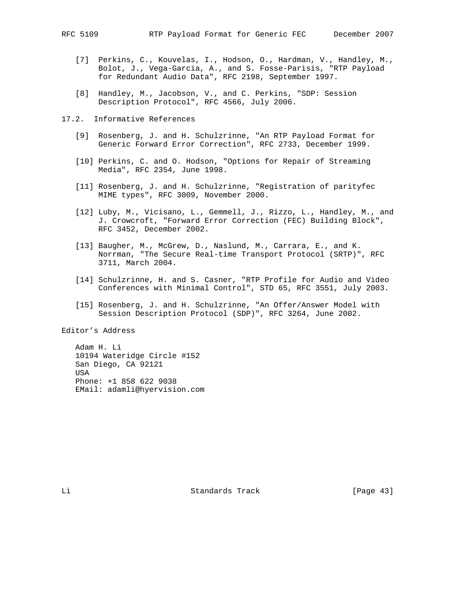- [7] Perkins, C., Kouvelas, I., Hodson, O., Hardman, V., Handley, M., Bolot, J., Vega-Garcia, A., and S. Fosse-Parisis, "RTP Payload for Redundant Audio Data", RFC 2198, September 1997.
- [8] Handley, M., Jacobson, V., and C. Perkins, "SDP: Session Description Protocol", RFC 4566, July 2006.
- 17.2. Informative References
	- [9] Rosenberg, J. and H. Schulzrinne, "An RTP Payload Format for Generic Forward Error Correction", RFC 2733, December 1999.
	- [10] Perkins, C. and O. Hodson, "Options for Repair of Streaming Media", RFC 2354, June 1998.
	- [11] Rosenberg, J. and H. Schulzrinne, "Registration of parityfec MIME types", RFC 3009, November 2000.
	- [12] Luby, M., Vicisano, L., Gemmell, J., Rizzo, L., Handley, M., and J. Crowcroft, "Forward Error Correction (FEC) Building Block", RFC 3452, December 2002.
	- [13] Baugher, M., McGrew, D., Naslund, M., Carrara, E., and K. Norrman, "The Secure Real-time Transport Protocol (SRTP)", RFC 3711, March 2004.
	- [14] Schulzrinne, H. and S. Casner, "RTP Profile for Audio and Video Conferences with Minimal Control", STD 65, RFC 3551, July 2003.
	- [15] Rosenberg, J. and H. Schulzrinne, "An Offer/Answer Model with Session Description Protocol (SDP)", RFC 3264, June 2002.

Editor's Address

 Adam H. Li 10194 Wateridge Circle #152 San Diego, CA 92121 USA Phone: +1 858 622 9038 EMail: adamli@hyervision.com

Li Standards Track [Page 43]